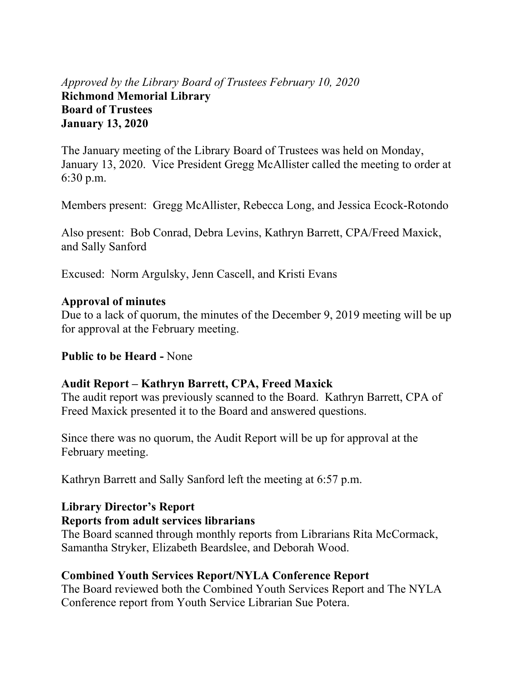## *Approved by the Library Board of Trustees February 10, 2020* **Richmond Memorial Library Board of Trustees January 13, 2020**

The January meeting of the Library Board of Trustees was held on Monday, January 13, 2020. Vice President Gregg McAllister called the meeting to order at 6:30 p.m.

Members present: Gregg McAllister, Rebecca Long, and Jessica Ecock-Rotondo

Also present: Bob Conrad, Debra Levins, Kathryn Barrett, CPA/Freed Maxick, and Sally Sanford

Excused: Norm Argulsky, Jenn Cascell, and Kristi Evans

#### **Approval of minutes**

Due to a lack of quorum, the minutes of the December 9, 2019 meeting will be up for approval at the February meeting.

#### **Public to be Heard -** None

#### **Audit Report – Kathryn Barrett, CPA, Freed Maxick**

The audit report was previously scanned to the Board. Kathryn Barrett, CPA of Freed Maxick presented it to the Board and answered questions.

Since there was no quorum, the Audit Report will be up for approval at the February meeting.

Kathryn Barrett and Sally Sanford left the meeting at 6:57 p.m.

#### **Library Director's Report**

#### **Reports from adult services librarians**

The Board scanned through monthly reports from Librarians Rita McCormack, Samantha Stryker, Elizabeth Beardslee, and Deborah Wood.

#### **Combined Youth Services Report/NYLA Conference Report**

The Board reviewed both the Combined Youth Services Report and The NYLA Conference report from Youth Service Librarian Sue Potera.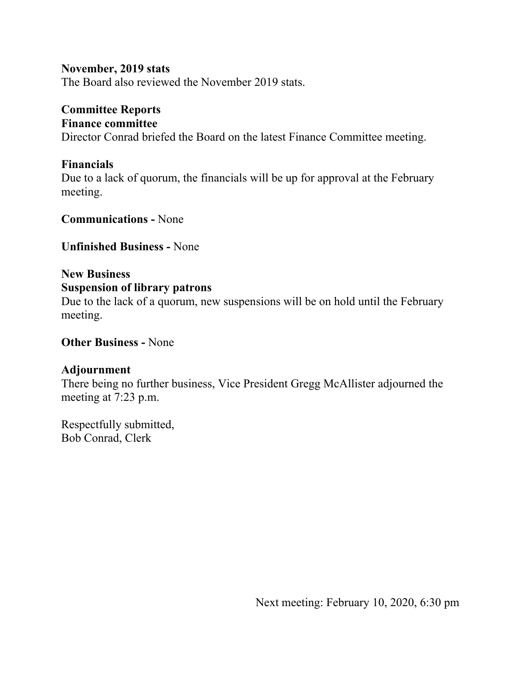#### **November, 2019 stats**

The Board also reviewed the November 2019 stats.

## **Committee Reports**

#### **Finance committee**

Director Conrad briefed the Board on the latest Finance Committee meeting.

#### **Financials**

Due to a lack of quorum, the financials will be up for approval at the February meeting.

**Communications -** None

**Unfinished Business -** None

# **New Business**

## **Suspension of library patrons**

Due to the lack of a quorum, new suspensions will be on hold until the February meeting.

**Other Business -** None

#### **Adjournment**

There being no further business, Vice President Gregg McAllister adjourned the meeting at 7:23 p.m.

Respectfully submitted, Bob Conrad, Clerk

Next meeting: February 10, 2020, 6:30 pm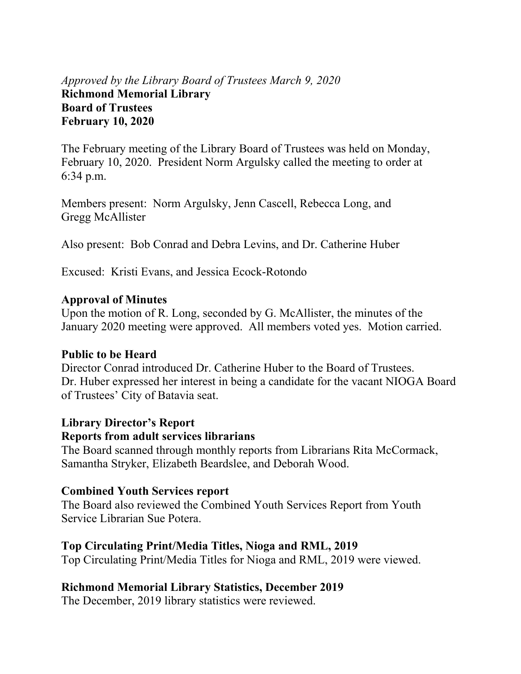## *Approved by the Library Board of Trustees March 9, 2020* **Richmond Memorial Library Board of Trustees February 10, 2020**

The February meeting of the Library Board of Trustees was held on Monday, February 10, 2020. President Norm Argulsky called the meeting to order at 6:34 p.m.

Members present: Norm Argulsky, Jenn Cascell, Rebecca Long, and Gregg McAllister

Also present: Bob Conrad and Debra Levins, and Dr. Catherine Huber

Excused: Kristi Evans, and Jessica Ecock-Rotondo

#### **Approval of Minutes**

Upon the motion of R. Long, seconded by G. McAllister, the minutes of the January 2020 meeting were approved. All members voted yes. Motion carried.

#### **Public to be Heard**

Director Conrad introduced Dr. Catherine Huber to the Board of Trustees. Dr. Huber expressed her interest in being a candidate for the vacant NIOGA Board of Trustees' City of Batavia seat.

#### **Library Director's Report**

#### **Reports from adult services librarians**

The Board scanned through monthly reports from Librarians Rita McCormack, Samantha Stryker, Elizabeth Beardslee, and Deborah Wood.

#### **Combined Youth Services report**

The Board also reviewed the Combined Youth Services Report from Youth Service Librarian Sue Potera.

#### **Top Circulating Print/Media Titles, Nioga and RML, 2019**

Top Circulating Print/Media Titles for Nioga and RML, 2019 were viewed.

## **Richmond Memorial Library Statistics, December 2019**

The December, 2019 library statistics were reviewed.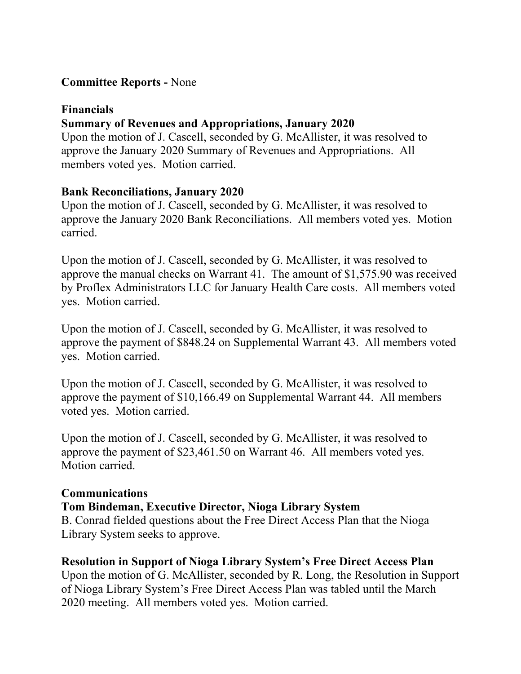### **Committee Reports -** None

#### **Financials**

### **Summary of Revenues and Appropriations, January 2020**

Upon the motion of J. Cascell, seconded by G. McAllister, it was resolved to approve the January 2020 Summary of Revenues and Appropriations. All members voted yes. Motion carried.

#### **Bank Reconciliations, January 2020**

Upon the motion of J. Cascell, seconded by G. McAllister, it was resolved to approve the January 2020 Bank Reconciliations. All members voted yes. Motion carried.

Upon the motion of J. Cascell, seconded by G. McAllister, it was resolved to approve the manual checks on Warrant 41. The amount of \$1,575.90 was received by Proflex Administrators LLC for January Health Care costs. All members voted yes. Motion carried.

Upon the motion of J. Cascell, seconded by G. McAllister, it was resolved to approve the payment of \$848.24 on Supplemental Warrant 43. All members voted yes. Motion carried.

Upon the motion of J. Cascell, seconded by G. McAllister, it was resolved to approve the payment of \$10,166.49 on Supplemental Warrant 44. All members voted yes. Motion carried.

Upon the motion of J. Cascell, seconded by G. McAllister, it was resolved to approve the payment of \$23,461.50 on Warrant 46. All members voted yes. Motion carried.

#### **Communications**

#### **Tom Bindeman, Executive Director, Nioga Library System**

B. Conrad fielded questions about the Free Direct Access Plan that the Nioga Library System seeks to approve.

#### **Resolution in Support of Nioga Library System's Free Direct Access Plan**

Upon the motion of G. McAllister, seconded by R. Long, the Resolution in Support of Nioga Library System's Free Direct Access Plan was tabled until the March 2020 meeting. All members voted yes. Motion carried.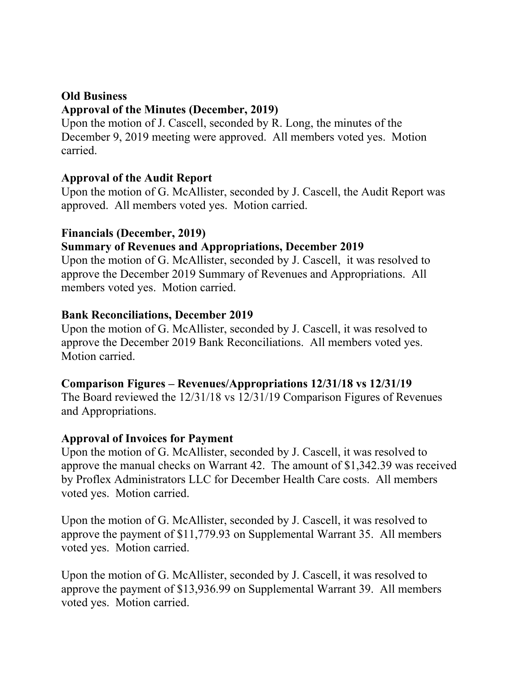#### **Old Business**

#### **Approval of the Minutes (December, 2019)**

Upon the motion of J. Cascell, seconded by R. Long, the minutes of the December 9, 2019 meeting were approved. All members voted yes. Motion carried.

#### **Approval of the Audit Report**

Upon the motion of G. McAllister, seconded by J. Cascell, the Audit Report was approved. All members voted yes. Motion carried.

#### **Financials (December, 2019)**

#### **Summary of Revenues and Appropriations, December 2019**

Upon the motion of G. McAllister, seconded by J. Cascell, it was resolved to approve the December 2019 Summary of Revenues and Appropriations. All members voted yes. Motion carried.

#### **Bank Reconciliations, December 2019**

Upon the motion of G. McAllister, seconded by J. Cascell, it was resolved to approve the December 2019 Bank Reconciliations. All members voted yes. Motion carried.

#### **Comparison Figures – Revenues/Appropriations 12/31/18 vs 12/31/19**

The Board reviewed the 12/31/18 vs 12/31/19 Comparison Figures of Revenues and Appropriations.

#### **Approval of Invoices for Payment**

Upon the motion of G. McAllister, seconded by J. Cascell, it was resolved to approve the manual checks on Warrant 42. The amount of \$1,342.39 was received by Proflex Administrators LLC for December Health Care costs. All members voted yes. Motion carried.

Upon the motion of G. McAllister, seconded by J. Cascell, it was resolved to approve the payment of \$11,779.93 on Supplemental Warrant 35. All members voted yes. Motion carried.

Upon the motion of G. McAllister, seconded by J. Cascell, it was resolved to approve the payment of \$13,936.99 on Supplemental Warrant 39. All members voted yes. Motion carried.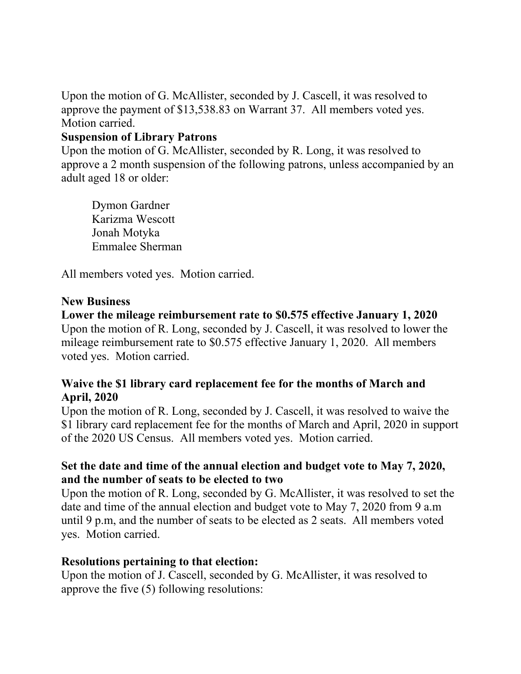Upon the motion of G. McAllister, seconded by J. Cascell, it was resolved to approve the payment of \$13,538.83 on Warrant 37. All members voted yes. Motion carried.

#### **Suspension of Library Patrons**

Upon the motion of G. McAllister, seconded by R. Long, it was resolved to approve a 2 month suspension of the following patrons, unless accompanied by an adult aged 18 or older:

Dymon Gardner Karizma Wescott Jonah Motyka Emmalee Sherman

All members voted yes. Motion carried.

#### **New Business**

#### **Lower the mileage reimbursement rate to \$0.575 effective January 1, 2020**

Upon the motion of R. Long, seconded by J. Cascell, it was resolved to lower the mileage reimbursement rate to \$0.575 effective January 1, 2020. All members voted yes. Motion carried.

### **Waive the \$1 library card replacement fee for the months of March and April, 2020**

Upon the motion of R. Long, seconded by J. Cascell, it was resolved to waive the \$1 library card replacement fee for the months of March and April, 2020 in support of the 2020 US Census. All members voted yes. Motion carried.

### **Set the date and time of the annual election and budget vote to May 7, 2020, and the number of seats to be elected to two**

Upon the motion of R. Long, seconded by G. McAllister, it was resolved to set the date and time of the annual election and budget vote to May 7, 2020 from 9 a.m until 9 p.m, and the number of seats to be elected as 2 seats. All members voted yes. Motion carried.

#### **Resolutions pertaining to that election:**

Upon the motion of J. Cascell, seconded by G. McAllister, it was resolved to approve the five (5) following resolutions: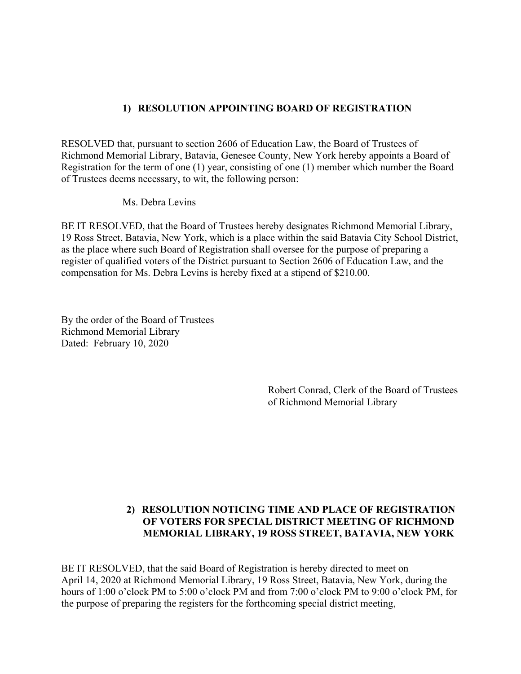#### **1) RESOLUTION APPOINTING BOARD OF REGISTRATION**

RESOLVED that, pursuant to section 2606 of Education Law, the Board of Trustees of Richmond Memorial Library, Batavia, Genesee County, New York hereby appoints a Board of Registration for the term of one (1) year, consisting of one (1) member which number the Board of Trustees deems necessary, to wit, the following person:

Ms. Debra Levins

BE IT RESOLVED, that the Board of Trustees hereby designates Richmond Memorial Library, 19 Ross Street, Batavia, New York, which is a place within the said Batavia City School District, as the place where such Board of Registration shall oversee for the purpose of preparing a register of qualified voters of the District pursuant to Section 2606 of Education Law, and the compensation for Ms. Debra Levins is hereby fixed at a stipend of \$210.00.

By the order of the Board of Trustees Richmond Memorial Library Dated: February 10, 2020

> Robert Conrad, Clerk of the Board of Trustees of Richmond Memorial Library

#### **2) RESOLUTION NOTICING TIME AND PLACE OF REGISTRATION OF VOTERS FOR SPECIAL DISTRICT MEETING OF RICHMOND MEMORIAL LIBRARY, 19 ROSS STREET, BATAVIA, NEW YORK**

BE IT RESOLVED, that the said Board of Registration is hereby directed to meet on April 14, 2020 at Richmond Memorial Library, 19 Ross Street, Batavia, New York, during the hours of 1:00 o'clock PM to 5:00 o'clock PM and from 7:00 o'clock PM to 9:00 o'clock PM, for the purpose of preparing the registers for the forthcoming special district meeting,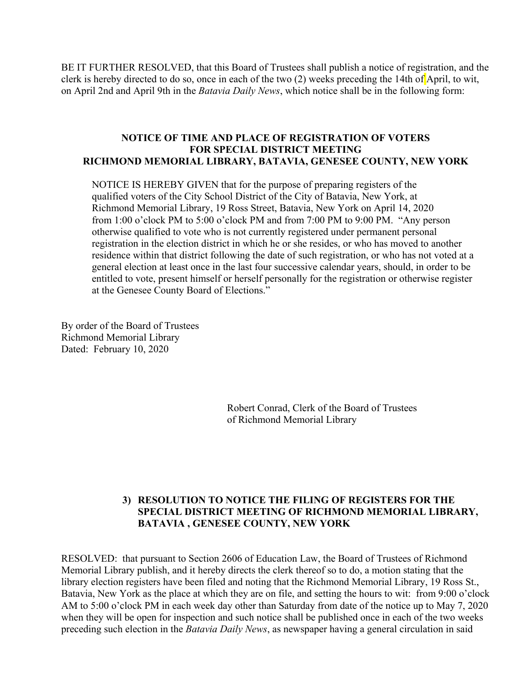BE IT FURTHER RESOLVED, that this Board of Trustees shall publish a notice of registration, and the clerk is hereby directed to do so, once in each of the two (2) weeks preceding the 14th of April, to wit, on April 2nd and April 9th in the *Batavia Daily News*, which notice shall be in the following form:

#### **NOTICE OF TIME AND PLACE OF REGISTRATION OF VOTERS FOR SPECIAL DISTRICT MEETING RICHMOND MEMORIAL LIBRARY, BATAVIA, GENESEE COUNTY, NEW YORK**

NOTICE IS HEREBY GIVEN that for the purpose of preparing registers of the qualified voters of the City School District of the City of Batavia, New York, at Richmond Memorial Library, 19 Ross Street, Batavia, New York on April 14, 2020 from 1:00 o'clock PM to 5:00 o'clock PM and from 7:00 PM to 9:00 PM. "Any person otherwise qualified to vote who is not currently registered under permanent personal registration in the election district in which he or she resides, or who has moved to another residence within that district following the date of such registration, or who has not voted at a general election at least once in the last four successive calendar years, should, in order to be entitled to vote, present himself or herself personally for the registration or otherwise register at the Genesee County Board of Elections."

By order of the Board of Trustees Richmond Memorial Library Dated: February 10, 2020

> Robert Conrad, Clerk of the Board of Trustees of Richmond Memorial Library

#### **3) RESOLUTION TO NOTICE THE FILING OF REGISTERS FOR THE SPECIAL DISTRICT MEETING OF RICHMOND MEMORIAL LIBRARY, BATAVIA , GENESEE COUNTY, NEW YORK**

RESOLVED: that pursuant to Section 2606 of Education Law, the Board of Trustees of Richmond Memorial Library publish, and it hereby directs the clerk thereof so to do, a motion stating that the library election registers have been filed and noting that the Richmond Memorial Library, 19 Ross St., Batavia, New York as the place at which they are on file, and setting the hours to wit: from 9:00 o'clock AM to 5:00 o'clock PM in each week day other than Saturday from date of the notice up to May 7, 2020 when they will be open for inspection and such notice shall be published once in each of the two weeks preceding such election in the *Batavia Daily News*, as newspaper having a general circulation in said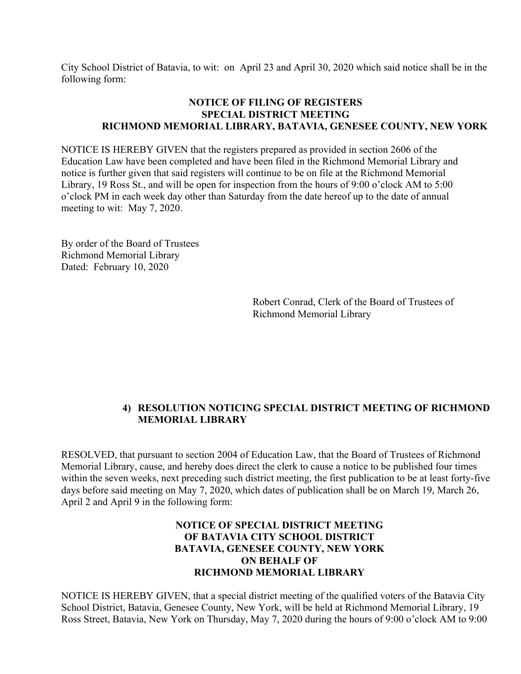City School District of Batavia, to wit: on April 23 and April 30, 2020 which said notice shall be in the following form:

#### **NOTICE OF FILING OF REGISTERS SPECIAL DISTRICT MEETING RICHMOND MEMORIAL LIBRARY, BATAVIA, GENESEE COUNTY, NEW YORK**

NOTICE IS HEREBY GIVEN that the registers prepared as provided in section 2606 of the Education Law have been completed and have been filed in the Richmond Memorial Library and notice is further given that said registers will continue to be on file at the Richmond Memorial Library, 19 Ross St., and will be open for inspection from the hours of 9:00 o'clock AM to 5:00 o'clock PM in each week day other than Saturday from the date hereof up to the date of annual meeting to wit: May 7, 2020.

By order of the Board of Trustees Richmond Memorial Library Dated: February 10, 2020

> Robert Conrad, Clerk of the Board of Trustees of Richmond Memorial Library

#### **4) RESOLUTION NOTICING SPECIAL DISTRICT MEETING OF RICHMOND MEMORIAL LIBRARY**

RESOLVED, that pursuant to section 2004 of Education Law, that the Board of Trustees of Richmond Memorial Library, cause, and hereby does direct the clerk to cause a notice to be published four times within the seven weeks, next preceding such district meeting, the first publication to be at least forty-five days before said meeting on May 7, 2020, which dates of publication shall be on March 19, March 26, April 2 and April 9 in the following form:

#### **NOTICE OF SPECIAL DISTRICT MEETING OF BATAVIA CITY SCHOOL DISTRICT BATAVIA, GENESEE COUNTY, NEW YORK ON BEHALF OF RICHMOND MEMORIAL LIBRARY**

NOTICE IS HEREBY GIVEN, that a special district meeting of the qualified voters of the Batavia City School District, Batavia, Genesee County, New York, will be held at Richmond Memorial Library, 19 Ross Street, Batavia, New York on Thursday, May 7, 2020 during the hours of 9:00 o'clock AM to 9:00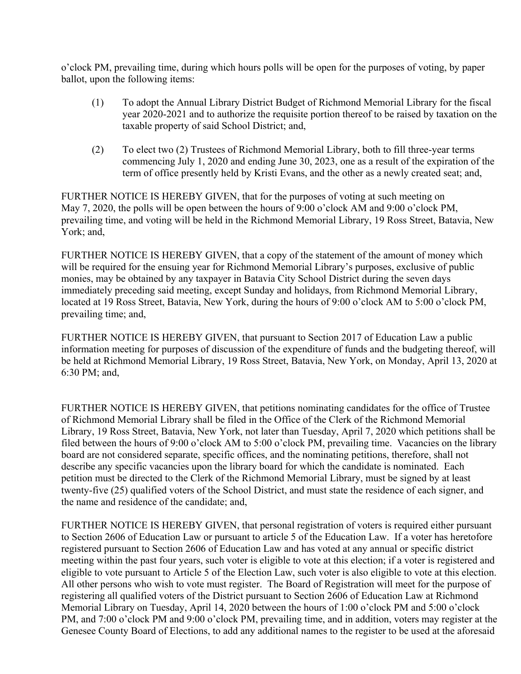o'clock PM, prevailing time, during which hours polls will be open for the purposes of voting, by paper ballot, upon the following items:

- (1) To adopt the Annual Library District Budget of Richmond Memorial Library for the fiscal year 2020-2021 and to authorize the requisite portion thereof to be raised by taxation on the taxable property of said School District; and,
- (2) To elect two (2) Trustees of Richmond Memorial Library, both to fill three-year terms commencing July 1, 2020 and ending June 30, 2023, one as a result of the expiration of the term of office presently held by Kristi Evans, and the other as a newly created seat; and,

FURTHER NOTICE IS HEREBY GIVEN, that for the purposes of voting at such meeting on May 7, 2020, the polls will be open between the hours of 9:00 o'clock AM and 9:00 o'clock PM, prevailing time, and voting will be held in the Richmond Memorial Library, 19 Ross Street, Batavia, New York; and,

FURTHER NOTICE IS HEREBY GIVEN, that a copy of the statement of the amount of money which will be required for the ensuing year for Richmond Memorial Library's purposes, exclusive of public monies, may be obtained by any taxpayer in Batavia City School District during the seven days immediately preceding said meeting, except Sunday and holidays, from Richmond Memorial Library, located at 19 Ross Street, Batavia, New York, during the hours of 9:00 o'clock AM to 5:00 o'clock PM, prevailing time; and,

FURTHER NOTICE IS HEREBY GIVEN, that pursuant to Section 2017 of Education Law a public information meeting for purposes of discussion of the expenditure of funds and the budgeting thereof, will be held at Richmond Memorial Library, 19 Ross Street, Batavia, New York, on Monday, April 13, 2020 at 6:30 PM; and,

FURTHER NOTICE IS HEREBY GIVEN, that petitions nominating candidates for the office of Trustee of Richmond Memorial Library shall be filed in the Office of the Clerk of the Richmond Memorial Library, 19 Ross Street, Batavia, New York, not later than Tuesday, April 7, 2020 which petitions shall be filed between the hours of 9:00 o'clock AM to 5:00 o'clock PM, prevailing time. Vacancies on the library board are not considered separate, specific offices, and the nominating petitions, therefore, shall not describe any specific vacancies upon the library board for which the candidate is nominated. Each petition must be directed to the Clerk of the Richmond Memorial Library, must be signed by at least twenty-five (25) qualified voters of the School District, and must state the residence of each signer, and the name and residence of the candidate; and,

FURTHER NOTICE IS HEREBY GIVEN, that personal registration of voters is required either pursuant to Section 2606 of Education Law or pursuant to article 5 of the Education Law. If a voter has heretofore registered pursuant to Section 2606 of Education Law and has voted at any annual or specific district meeting within the past four years, such voter is eligible to vote at this election; if a voter is registered and eligible to vote pursuant to Article 5 of the Election Law, such voter is also eligible to vote at this election. All other persons who wish to vote must register. The Board of Registration will meet for the purpose of registering all qualified voters of the District pursuant to Section 2606 of Education Law at Richmond Memorial Library on Tuesday, April 14, 2020 between the hours of 1:00 o'clock PM and 5:00 o'clock PM, and 7:00 o'clock PM and 9:00 o'clock PM, prevailing time, and in addition, voters may register at the Genesee County Board of Elections, to add any additional names to the register to be used at the aforesaid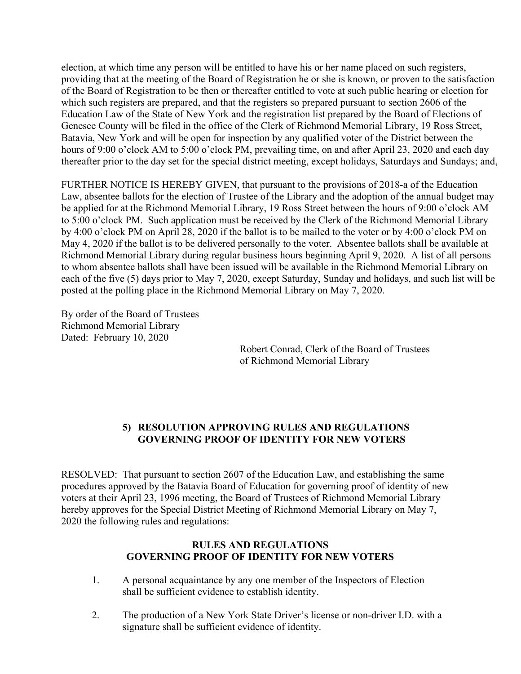election, at which time any person will be entitled to have his or her name placed on such registers, providing that at the meeting of the Board of Registration he or she is known, or proven to the satisfaction of the Board of Registration to be then or thereafter entitled to vote at such public hearing or election for which such registers are prepared, and that the registers so prepared pursuant to section 2606 of the Education Law of the State of New York and the registration list prepared by the Board of Elections of Genesee County will be filed in the office of the Clerk of Richmond Memorial Library, 19 Ross Street, Batavia, New York and will be open for inspection by any qualified voter of the District between the hours of 9:00 o'clock AM to 5:00 o'clock PM, prevailing time, on and after April 23, 2020 and each day thereafter prior to the day set for the special district meeting, except holidays, Saturdays and Sundays; and,

FURTHER NOTICE IS HEREBY GIVEN, that pursuant to the provisions of 2018-a of the Education Law, absentee ballots for the election of Trustee of the Library and the adoption of the annual budget may be applied for at the Richmond Memorial Library, 19 Ross Street between the hours of 9:00 o'clock AM to 5:00 o'clock PM. Such application must be received by the Clerk of the Richmond Memorial Library by 4:00 o'clock PM on April 28, 2020 if the ballot is to be mailed to the voter or by 4:00 o'clock PM on May 4, 2020 if the ballot is to be delivered personally to the voter. Absentee ballots shall be available at Richmond Memorial Library during regular business hours beginning April 9, 2020. A list of all persons to whom absentee ballots shall have been issued will be available in the Richmond Memorial Library on each of the five (5) days prior to May 7, 2020, except Saturday, Sunday and holidays, and such list will be posted at the polling place in the Richmond Memorial Library on May 7, 2020.

By order of the Board of Trustees Richmond Memorial Library Dated: February 10, 2020

 Robert Conrad, Clerk of the Board of Trustees of Richmond Memorial Library

#### **5) RESOLUTION APPROVING RULES AND REGULATIONS GOVERNING PROOF OF IDENTITY FOR NEW VOTERS**

RESOLVED: That pursuant to section 2607 of the Education Law, and establishing the same procedures approved by the Batavia Board of Education for governing proof of identity of new voters at their April 23, 1996 meeting, the Board of Trustees of Richmond Memorial Library hereby approves for the Special District Meeting of Richmond Memorial Library on May 7, 2020 the following rules and regulations:

#### **RULES AND REGULATIONS GOVERNING PROOF OF IDENTITY FOR NEW VOTERS**

- 1. A personal acquaintance by any one member of the Inspectors of Election shall be sufficient evidence to establish identity.
- 2. The production of a New York State Driver's license or non-driver I.D. with a signature shall be sufficient evidence of identity.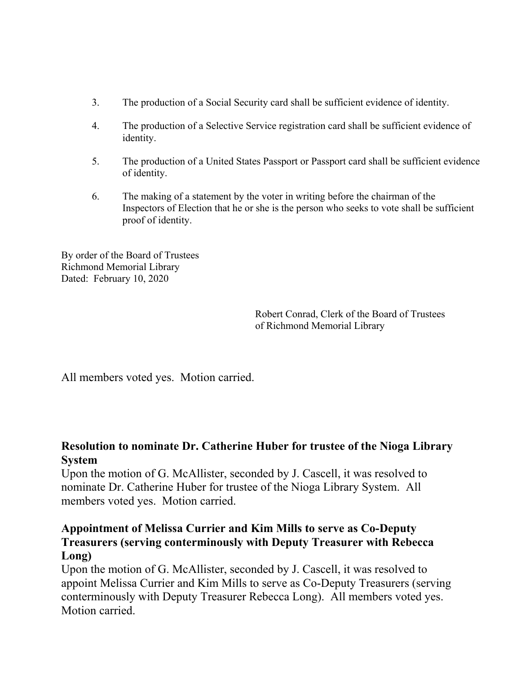- 3. The production of a Social Security card shall be sufficient evidence of identity.
- 4. The production of a Selective Service registration card shall be sufficient evidence of identity.
- 5. The production of a United States Passport or Passport card shall be sufficient evidence of identity.
- 6. The making of a statement by the voter in writing before the chairman of the Inspectors of Election that he or she is the person who seeks to vote shall be sufficient proof of identity.

By order of the Board of Trustees Richmond Memorial Library Dated: February 10, 2020

> Robert Conrad, Clerk of the Board of Trustees of Richmond Memorial Library

All members voted yes. Motion carried.

### **Resolution to nominate Dr. Catherine Huber for trustee of the Nioga Library System**

Upon the motion of G. McAllister, seconded by J. Cascell, it was resolved to nominate Dr. Catherine Huber for trustee of the Nioga Library System. All members voted yes. Motion carried.

### **Appointment of Melissa Currier and Kim Mills to serve as Co-Deputy Treasurers (serving conterminously with Deputy Treasurer with Rebecca Long)**

Upon the motion of G. McAllister, seconded by J. Cascell, it was resolved to appoint Melissa Currier and Kim Mills to serve as Co-Deputy Treasurers (serving conterminously with Deputy Treasurer Rebecca Long). All members voted yes. Motion carried.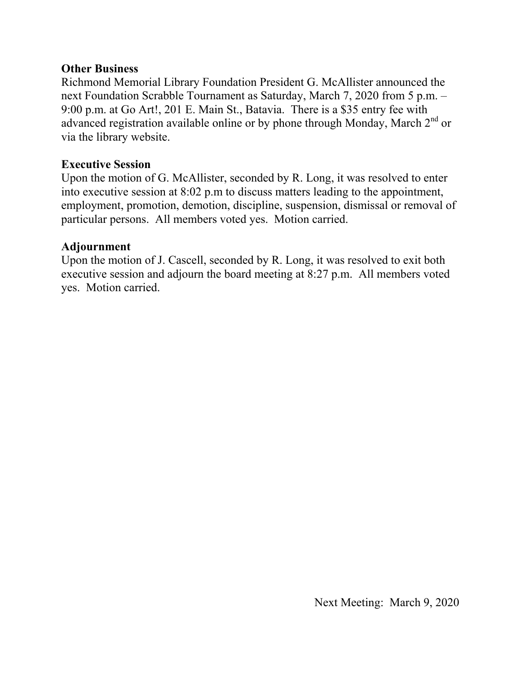#### **Other Business**

Richmond Memorial Library Foundation President G. McAllister announced the next Foundation Scrabble Tournament as Saturday, March 7, 2020 from 5 p.m. – 9:00 p.m. at Go Art!, 201 E. Main St., Batavia. There is a \$35 entry fee with advanced registration available online or by phone through Monday, March  $2^{nd}$  or via the library website.

#### **Executive Session**

Upon the motion of G. McAllister, seconded by R. Long, it was resolved to enter into executive session at 8:02 p.m to discuss matters leading to the appointment, employment, promotion, demotion, discipline, suspension, dismissal or removal of particular persons. All members voted yes. Motion carried.

#### **Adjournment**

Upon the motion of J. Cascell, seconded by R. Long, it was resolved to exit both executive session and adjourn the board meeting at 8:27 p.m. All members voted yes. Motion carried.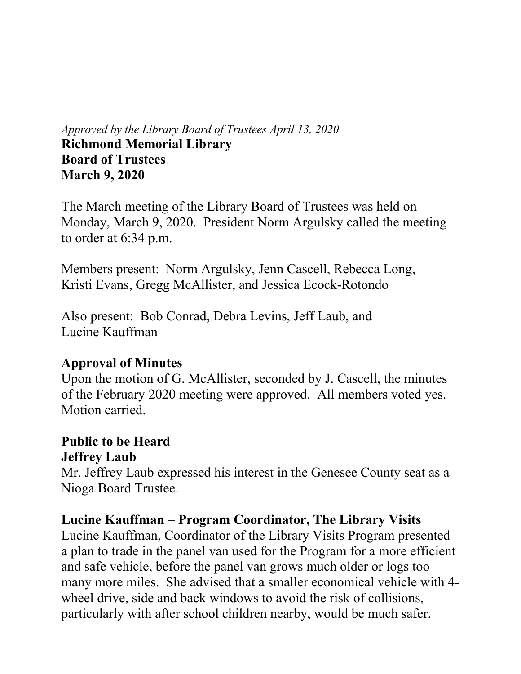## *Approved by the Library Board of Trustees April 13, 2020* **Richmond Memorial Library Board of Trustees March 9, 2020**

The March meeting of the Library Board of Trustees was held on Monday, March 9, 2020. President Norm Argulsky called the meeting to order at 6:34 p.m.

Members present: Norm Argulsky, Jenn Cascell, Rebecca Long, Kristi Evans, Gregg McAllister, and Jessica Ecock-Rotondo

Also present: Bob Conrad, Debra Levins, Jeff Laub, and Lucine Kauffman

## **Approval of Minutes**

Upon the motion of G. McAllister, seconded by J. Cascell, the minutes of the February 2020 meeting were approved. All members voted yes. Motion carried.

## **Public to be Heard Jeffrey Laub**

Mr. Jeffrey Laub expressed his interest in the Genesee County seat as a Nioga Board Trustee.

## **Lucine Kauffman – Program Coordinator, The Library Visits**

Lucine Kauffman, Coordinator of the Library Visits Program presented a plan to trade in the panel van used for the Program for a more efficient and safe vehicle, before the panel van grows much older or logs too many more miles. She advised that a smaller economical vehicle with 4 wheel drive, side and back windows to avoid the risk of collisions, particularly with after school children nearby, would be much safer.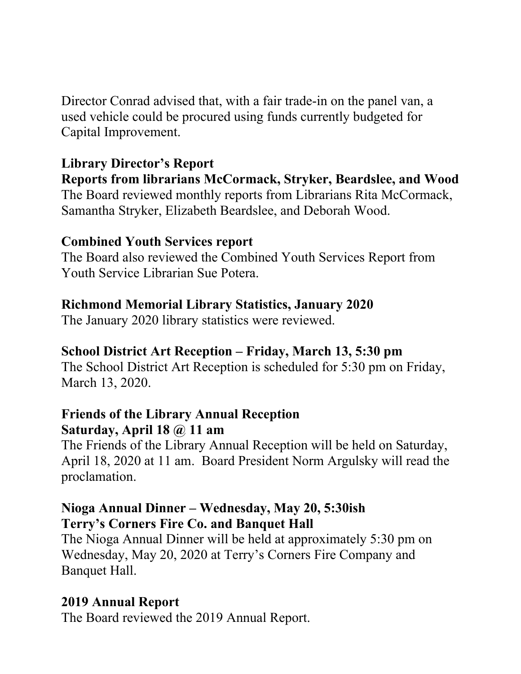Director Conrad advised that, with a fair trade-in on the panel van, a used vehicle could be procured using funds currently budgeted for Capital Improvement.

## **Library Director's Report**

**Reports from librarians McCormack, Stryker, Beardslee, and Wood**  The Board reviewed monthly reports from Librarians Rita McCormack, Samantha Stryker, Elizabeth Beardslee, and Deborah Wood.

## **Combined Youth Services report**

The Board also reviewed the Combined Youth Services Report from Youth Service Librarian Sue Potera.

## **Richmond Memorial Library Statistics, January 2020**

The January 2020 library statistics were reviewed.

## **School District Art Reception – Friday, March 13, 5:30 pm**

The School District Art Reception is scheduled for 5:30 pm on Friday, March 13, 2020.

## **Friends of the Library Annual Reception Saturday, April 18 @ 11 am**

The Friends of the Library Annual Reception will be held on Saturday, April 18, 2020 at 11 am. Board President Norm Argulsky will read the proclamation.

## **Nioga Annual Dinner – Wednesday, May 20, 5:30ish Terry's Corners Fire Co. and Banquet Hall**

The Nioga Annual Dinner will be held at approximately 5:30 pm on Wednesday, May 20, 2020 at Terry's Corners Fire Company and Banquet Hall.

## **2019 Annual Report**

The Board reviewed the 2019 Annual Report.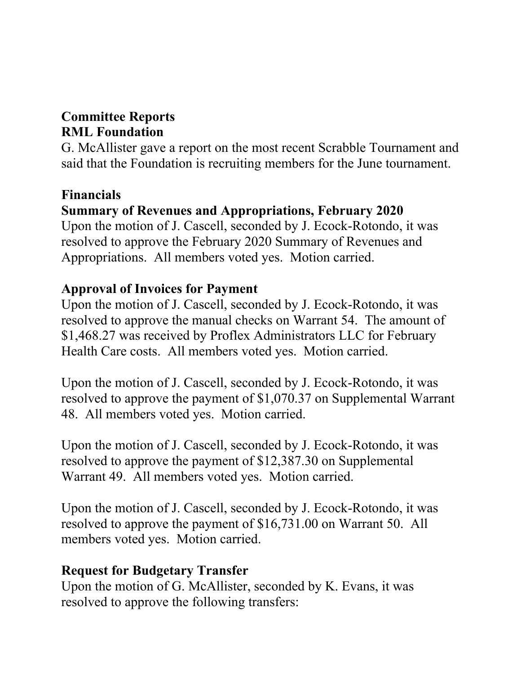## **Committee Reports RML Foundation**

G. McAllister gave a report on the most recent Scrabble Tournament and said that the Foundation is recruiting members for the June tournament.

## **Financials**

## **Summary of Revenues and Appropriations, February 2020**

Upon the motion of J. Cascell, seconded by J. Ecock-Rotondo, it was resolved to approve the February 2020 Summary of Revenues and Appropriations. All members voted yes. Motion carried.

## **Approval of Invoices for Payment**

Upon the motion of J. Cascell, seconded by J. Ecock-Rotondo, it was resolved to approve the manual checks on Warrant 54. The amount of \$1,468.27 was received by Proflex Administrators LLC for February Health Care costs. All members voted yes. Motion carried.

Upon the motion of J. Cascell, seconded by J. Ecock-Rotondo, it was resolved to approve the payment of \$1,070.37 on Supplemental Warrant 48. All members voted yes. Motion carried.

Upon the motion of J. Cascell, seconded by J. Ecock-Rotondo, it was resolved to approve the payment of \$12,387.30 on Supplemental Warrant 49. All members voted yes. Motion carried.

Upon the motion of J. Cascell, seconded by J. Ecock-Rotondo, it was resolved to approve the payment of \$16,731.00 on Warrant 50. All members voted yes. Motion carried.

## **Request for Budgetary Transfer**

Upon the motion of G. McAllister, seconded by K. Evans, it was resolved to approve the following transfers: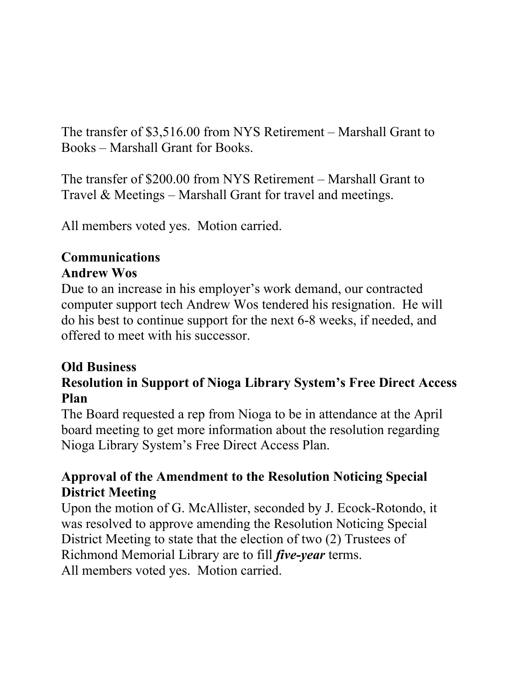The transfer of \$3,516.00 from NYS Retirement – Marshall Grant to Books – Marshall Grant for Books.

The transfer of \$200.00 from NYS Retirement – Marshall Grant to Travel & Meetings – Marshall Grant for travel and meetings.

All members voted yes. Motion carried.

## **Communications Andrew Wos**

Due to an increase in his employer's work demand, our contracted computer support tech Andrew Wos tendered his resignation. He will do his best to continue support for the next 6-8 weeks, if needed, and offered to meet with his successor.

## **Old Business**

## **Resolution in Support of Nioga Library System's Free Direct Access Plan**

The Board requested a rep from Nioga to be in attendance at the April board meeting to get more information about the resolution regarding Nioga Library System's Free Direct Access Plan.

## **Approval of the Amendment to the Resolution Noticing Special District Meeting**

Upon the motion of G. McAllister, seconded by J. Ecock-Rotondo, it was resolved to approve amending the Resolution Noticing Special District Meeting to state that the election of two (2) Trustees of Richmond Memorial Library are to fill *five-year* terms. All members voted yes. Motion carried.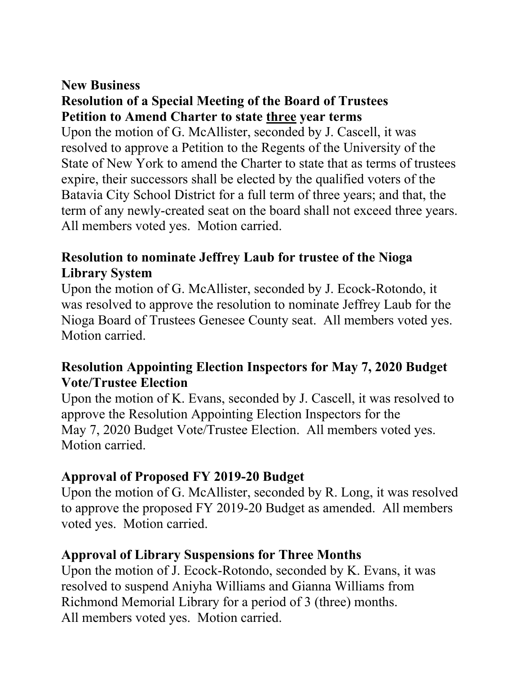## **New Business Resolution of a Special Meeting of the Board of Trustees Petition to Amend Charter to state three year terms**

Upon the motion of G. McAllister, seconded by J. Cascell, it was resolved to approve a Petition to the Regents of the University of the State of New York to amend the Charter to state that as terms of trustees expire, their successors shall be elected by the qualified voters of the Batavia City School District for a full term of three years; and that, the term of any newly-created seat on the board shall not exceed three years. All members voted yes. Motion carried.

## **Resolution to nominate Jeffrey Laub for trustee of the Nioga Library System**

Upon the motion of G. McAllister, seconded by J. Ecock-Rotondo, it was resolved to approve the resolution to nominate Jeffrey Laub for the Nioga Board of Trustees Genesee County seat. All members voted yes. Motion carried.

## **Resolution Appointing Election Inspectors for May 7, 2020 Budget Vote/Trustee Election**

Upon the motion of K. Evans, seconded by J. Cascell, it was resolved to approve the Resolution Appointing Election Inspectors for the May 7, 2020 Budget Vote/Trustee Election. All members voted yes. Motion carried.

## **Approval of Proposed FY 2019-20 Budget**

Upon the motion of G. McAllister, seconded by R. Long, it was resolved to approve the proposed FY 2019-20 Budget as amended. All members voted yes. Motion carried.

## **Approval of Library Suspensions for Three Months**

Upon the motion of J. Ecock-Rotondo, seconded by K. Evans, it was resolved to suspend Aniyha Williams and Gianna Williams from Richmond Memorial Library for a period of 3 (three) months. All members voted yes. Motion carried.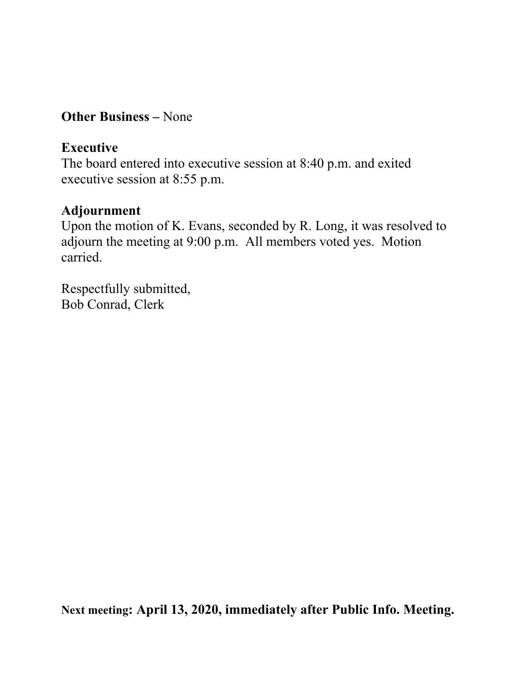## **Other Business –** None

## **Executive**

The board entered into executive session at 8:40 p.m. and exited executive session at 8:55 p.m.

## **Adjournment**

Upon the motion of K. Evans, seconded by R. Long, it was resolved to adjourn the meeting at 9:00 p.m. All members voted yes. Motion carried.

Respectfully submitted, Bob Conrad, Clerk

**Next meeting: April 13, 2020, immediately after Public Info. Meeting.**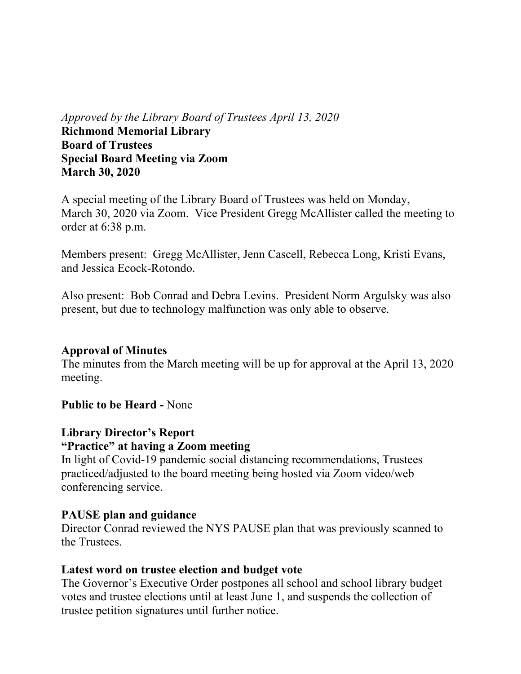*Approved by the Library Board of Trustees April 13, 2020* **Richmond Memorial Library Board of Trustees Special Board Meeting via Zoom March 30, 2020** 

A special meeting of the Library Board of Trustees was held on Monday, March 30, 2020 via Zoom. Vice President Gregg McAllister called the meeting to order at 6:38 p.m.

Members present: Gregg McAllister, Jenn Cascell, Rebecca Long, Kristi Evans, and Jessica Ecock-Rotondo.

Also present: Bob Conrad and Debra Levins. President Norm Argulsky was also present, but due to technology malfunction was only able to observe.

#### **Approval of Minutes**

The minutes from the March meeting will be up for approval at the April 13, 2020 meeting.

#### **Public to be Heard -** None

## **Library Director's Report**

#### **"Practice" at having a Zoom meeting**

In light of Covid-19 pandemic social distancing recommendations, Trustees practiced/adjusted to the board meeting being hosted via Zoom video/web conferencing service.

#### **PAUSE plan and guidance**

Director Conrad reviewed the NYS PAUSE plan that was previously scanned to the Trustees.

#### **Latest word on trustee election and budget vote**

The Governor's Executive Order postpones all school and school library budget votes and trustee elections until at least June 1, and suspends the collection of trustee petition signatures until further notice.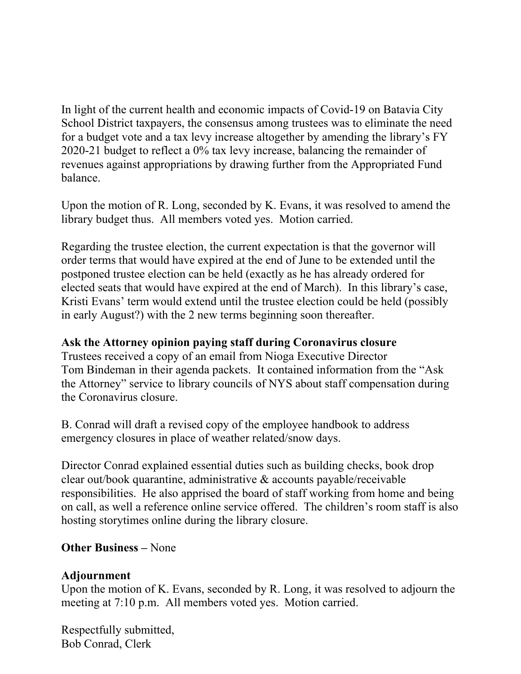In light of the current health and economic impacts of Covid-19 on Batavia City School District taxpayers, the consensus among trustees was to eliminate the need for a budget vote and a tax levy increase altogether by amending the library's FY 2020-21 budget to reflect a 0% tax levy increase, balancing the remainder of revenues against appropriations by drawing further from the Appropriated Fund balance.

Upon the motion of R. Long, seconded by K. Evans, it was resolved to amend the library budget thus. All members voted yes. Motion carried.

Regarding the trustee election, the current expectation is that the governor will order terms that would have expired at the end of June to be extended until the postponed trustee election can be held (exactly as he has already ordered for elected seats that would have expired at the end of March). In this library's case, Kristi Evans' term would extend until the trustee election could be held (possibly in early August?) with the 2 new terms beginning soon thereafter.

#### **Ask the Attorney opinion paying staff during Coronavirus closure**

Trustees received a copy of an email from Nioga Executive Director Tom Bindeman in their agenda packets. It contained information from the "Ask the Attorney" service to library councils of NYS about staff compensation during the Coronavirus closure.

B. Conrad will draft a revised copy of the employee handbook to address emergency closures in place of weather related/snow days.

Director Conrad explained essential duties such as building checks, book drop clear out/book quarantine, administrative & accounts payable/receivable responsibilities. He also apprised the board of staff working from home and being on call, as well a reference online service offered. The children's room staff is also hosting storytimes online during the library closure.

#### **Other Business –** None

#### **Adjournment**

Upon the motion of K. Evans, seconded by R. Long, it was resolved to adjourn the meeting at 7:10 p.m. All members voted yes. Motion carried.

Respectfully submitted, Bob Conrad, Clerk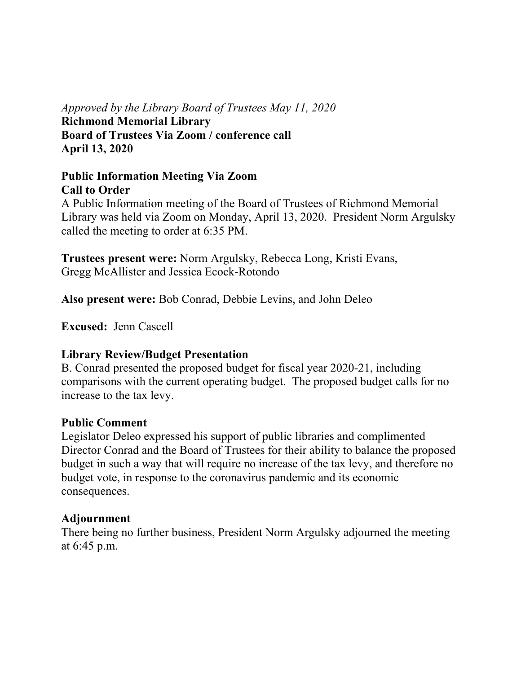## *Approved by the Library Board of Trustees May 11, 2020* **Richmond Memorial Library Board of Trustees Via Zoom / conference call April 13, 2020**

### **Public Information Meeting Via Zoom Call to Order**

A Public Information meeting of the Board of Trustees of Richmond Memorial Library was held via Zoom on Monday, April 13, 2020. President Norm Argulsky called the meeting to order at 6:35 PM.

**Trustees present were:** Norm Argulsky, Rebecca Long, Kristi Evans, Gregg McAllister and Jessica Ecock-Rotondo

**Also present were:** Bob Conrad, Debbie Levins, and John Deleo

**Excused:** Jenn Cascell

#### **Library Review/Budget Presentation**

B. Conrad presented the proposed budget for fiscal year 2020-21, including comparisons with the current operating budget. The proposed budget calls for no increase to the tax levy.

#### **Public Comment**

Legislator Deleo expressed his support of public libraries and complimented Director Conrad and the Board of Trustees for their ability to balance the proposed budget in such a way that will require no increase of the tax levy, and therefore no budget vote, in response to the coronavirus pandemic and its economic consequences.

#### **Adjournment**

There being no further business, President Norm Argulsky adjourned the meeting at 6:45 p.m.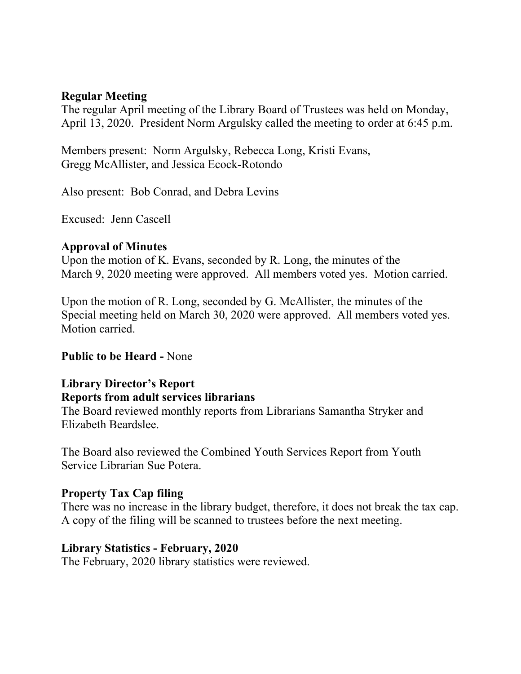#### **Regular Meeting**

The regular April meeting of the Library Board of Trustees was held on Monday, April 13, 2020. President Norm Argulsky called the meeting to order at 6:45 p.m.

Members present: Norm Argulsky, Rebecca Long, Kristi Evans, Gregg McAllister, and Jessica Ecock-Rotondo

Also present: Bob Conrad, and Debra Levins

Excused: Jenn Cascell

#### **Approval of Minutes**

Upon the motion of K. Evans, seconded by R. Long, the minutes of the March 9, 2020 meeting were approved. All members voted yes. Motion carried.

Upon the motion of R. Long, seconded by G. McAllister, the minutes of the Special meeting held on March 30, 2020 were approved. All members voted yes. Motion carried.

#### **Public to be Heard -** None

#### **Library Director's Report Reports from adult services librarians**

The Board reviewed monthly reports from Librarians Samantha Stryker and Elizabeth Beardslee.

The Board also reviewed the Combined Youth Services Report from Youth Service Librarian Sue Potera.

#### **Property Tax Cap filing**

There was no increase in the library budget, therefore, it does not break the tax cap. A copy of the filing will be scanned to trustees before the next meeting.

#### **Library Statistics - February, 2020**

The February, 2020 library statistics were reviewed.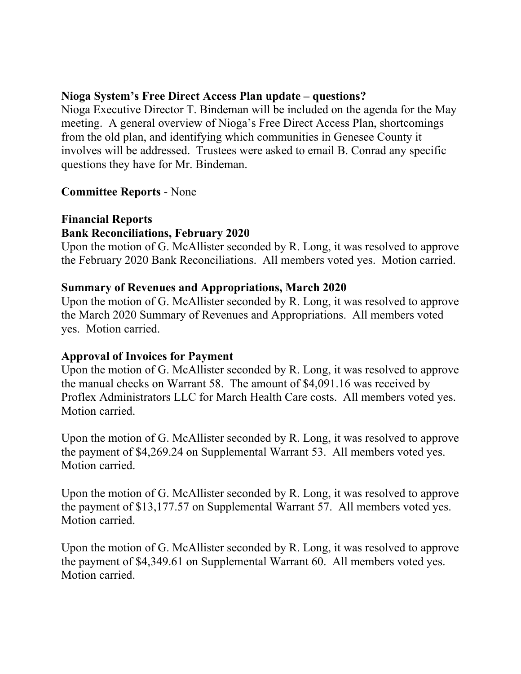#### **Nioga System's Free Direct Access Plan update – questions?**

Nioga Executive Director T. Bindeman will be included on the agenda for the May meeting. A general overview of Nioga's Free Direct Access Plan, shortcomings from the old plan, and identifying which communities in Genesee County it involves will be addressed. Trustees were asked to email B. Conrad any specific questions they have for Mr. Bindeman.

### **Committee Reports** - None

### **Financial Reports Bank Reconciliations, February 2020**

Upon the motion of G. McAllister seconded by R. Long, it was resolved to approve the February 2020 Bank Reconciliations. All members voted yes. Motion carried.

#### **Summary of Revenues and Appropriations, March 2020**

Upon the motion of G. McAllister seconded by R. Long, it was resolved to approve the March 2020 Summary of Revenues and Appropriations. All members voted yes. Motion carried.

#### **Approval of Invoices for Payment**

Upon the motion of G. McAllister seconded by R. Long, it was resolved to approve the manual checks on Warrant 58. The amount of \$4,091.16 was received by Proflex Administrators LLC for March Health Care costs. All members voted yes. Motion carried.

Upon the motion of G. McAllister seconded by R. Long, it was resolved to approve the payment of \$4,269.24 on Supplemental Warrant 53. All members voted yes. Motion carried.

Upon the motion of G. McAllister seconded by R. Long, it was resolved to approve the payment of \$13,177.57 on Supplemental Warrant 57. All members voted yes. Motion carried.

Upon the motion of G. McAllister seconded by R. Long, it was resolved to approve the payment of \$4,349.61 on Supplemental Warrant 60. All members voted yes. Motion carried.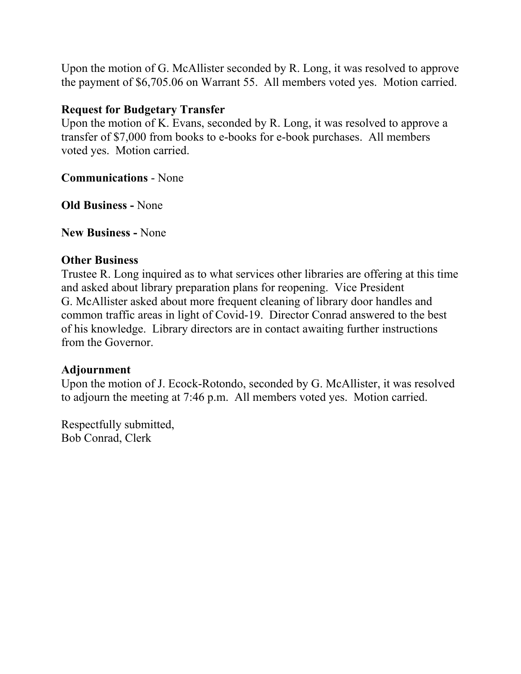Upon the motion of G. McAllister seconded by R. Long, it was resolved to approve the payment of \$6,705.06 on Warrant 55. All members voted yes. Motion carried.

#### **Request for Budgetary Transfer**

Upon the motion of K. Evans, seconded by R. Long, it was resolved to approve a transfer of \$7,000 from books to e-books for e-book purchases. All members voted yes. Motion carried.

**Communications** - None

**Old Business -** None

**New Business -** None

#### **Other Business**

Trustee R. Long inquired as to what services other libraries are offering at this time and asked about library preparation plans for reopening. Vice President G. McAllister asked about more frequent cleaning of library door handles and common traffic areas in light of Covid-19. Director Conrad answered to the best of his knowledge. Library directors are in contact awaiting further instructions from the Governor.

#### **Adjournment**

Upon the motion of J. Ecock-Rotondo, seconded by G. McAllister, it was resolved to adjourn the meeting at 7:46 p.m. All members voted yes. Motion carried.

Respectfully submitted, Bob Conrad, Clerk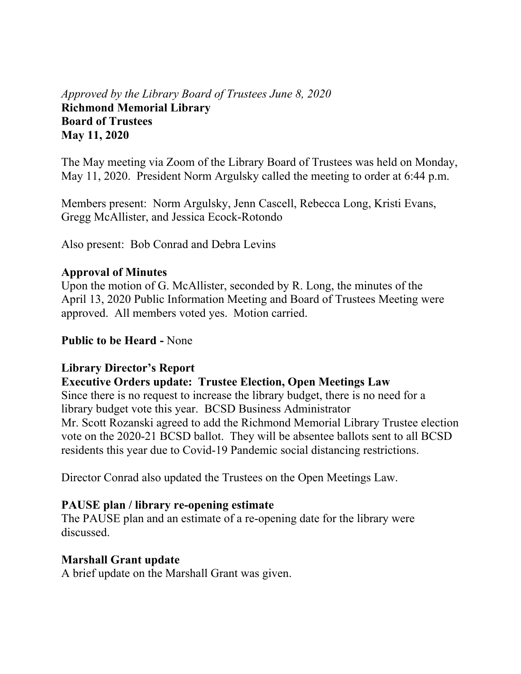## *Approved by the Library Board of Trustees June 8, 2020* **Richmond Memorial Library Board of Trustees May 11, 2020**

The May meeting via Zoom of the Library Board of Trustees was held on Monday, May 11, 2020. President Norm Argulsky called the meeting to order at 6:44 p.m.

Members present: Norm Argulsky, Jenn Cascell, Rebecca Long, Kristi Evans, Gregg McAllister, and Jessica Ecock-Rotondo

Also present: Bob Conrad and Debra Levins

#### **Approval of Minutes**

Upon the motion of G. McAllister, seconded by R. Long, the minutes of the April 13, 2020 Public Information Meeting and Board of Trustees Meeting were approved. All members voted yes. Motion carried.

#### **Public to be Heard -** None

#### **Library Director's Report**

#### **Executive Orders update: Trustee Election, Open Meetings Law**

Since there is no request to increase the library budget, there is no need for a library budget vote this year. BCSD Business Administrator Mr. Scott Rozanski agreed to add the Richmond Memorial Library Trustee election vote on the 2020-21 BCSD ballot. They will be absentee ballots sent to all BCSD residents this year due to Covid-19 Pandemic social distancing restrictions.

Director Conrad also updated the Trustees on the Open Meetings Law.

#### **PAUSE plan / library re-opening estimate**

The PAUSE plan and an estimate of a re-opening date for the library were discussed.

#### **Marshall Grant update**

A brief update on the Marshall Grant was given.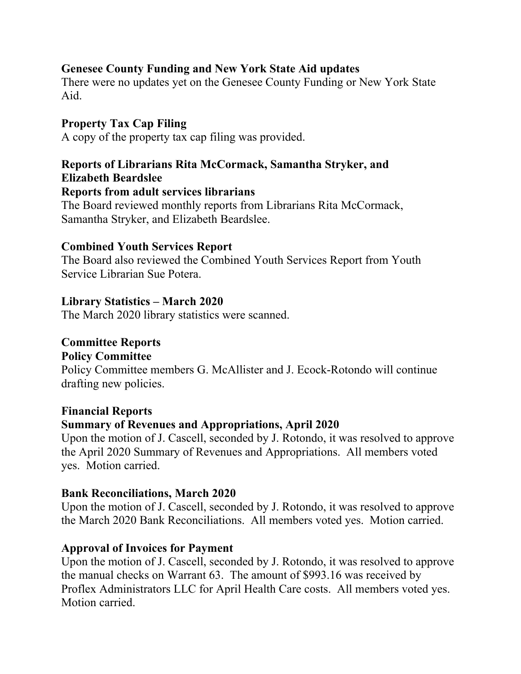### **Genesee County Funding and New York State Aid updates**

There were no updates yet on the Genesee County Funding or New York State Aid.

## **Property Tax Cap Filing**

A copy of the property tax cap filing was provided.

## **Reports of Librarians Rita McCormack, Samantha Stryker, and Elizabeth Beardslee**

#### **Reports from adult services librarians**

The Board reviewed monthly reports from Librarians Rita McCormack, Samantha Stryker, and Elizabeth Beardslee.

#### **Combined Youth Services Report**

The Board also reviewed the Combined Youth Services Report from Youth Service Librarian Sue Potera.

### **Library Statistics – March 2020**

The March 2020 library statistics were scanned.

### **Committee Reports**

#### **Policy Committee**

Policy Committee members G. McAllister and J. Ecock-Rotondo will continue drafting new policies.

## **Financial Reports**

## **Summary of Revenues and Appropriations, April 2020**

Upon the motion of J. Cascell, seconded by J. Rotondo, it was resolved to approve the April 2020 Summary of Revenues and Appropriations. All members voted yes. Motion carried.

#### **Bank Reconciliations, March 2020**

Upon the motion of J. Cascell, seconded by J. Rotondo, it was resolved to approve the March 2020 Bank Reconciliations. All members voted yes. Motion carried.

## **Approval of Invoices for Payment**

Upon the motion of J. Cascell, seconded by J. Rotondo, it was resolved to approve the manual checks on Warrant 63. The amount of \$993.16 was received by Proflex Administrators LLC for April Health Care costs. All members voted yes. Motion carried.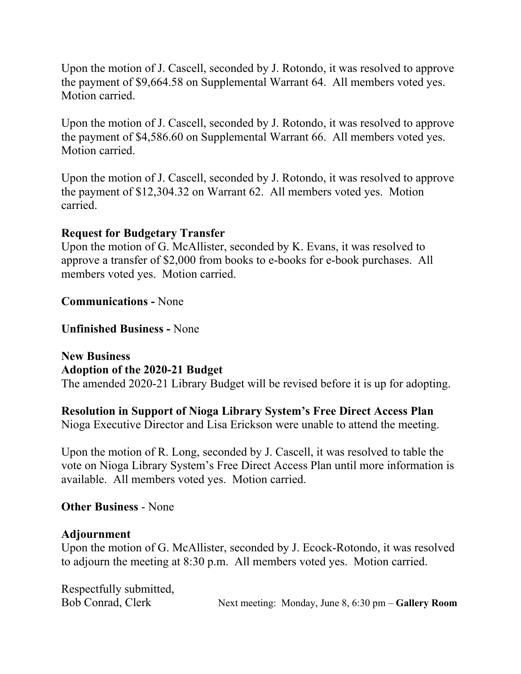Upon the motion of J. Cascell, seconded by J. Rotondo, it was resolved to approve the payment of \$9,664.58 on Supplemental Warrant 64. All members voted yes. Motion carried.

Upon the motion of J. Cascell, seconded by J. Rotondo, it was resolved to approve the payment of \$4,586.60 on Supplemental Warrant 66. All members voted yes. Motion carried.

Upon the motion of J. Cascell, seconded by J. Rotondo, it was resolved to approve the payment of \$12,304.32 on Warrant 62. All members voted yes. Motion carried.

#### **Request for Budgetary Transfer**

Upon the motion of G. McAllister, seconded by K. Evans, it was resolved to approve a transfer of \$2,000 from books to e-books for e-book purchases. All members voted yes. Motion carried.

#### **Communications -** None

#### **Unfinished Business -** None

**New Business Adoption of the 2020-21 Budget**  The amended 2020-21 Library Budget will be revised before it is up for adopting.

## **Resolution in Support of Nioga Library System's Free Direct Access Plan**

Nioga Executive Director and Lisa Erickson were unable to attend the meeting.

Upon the motion of R. Long, seconded by J. Cascell, it was resolved to table the vote on Nioga Library System's Free Direct Access Plan until more information is available. All members voted yes. Motion carried.

#### **Other Business** - None

#### **Adjournment**

Upon the motion of G. McAllister, seconded by J. Ecock-Rotondo, it was resolved to adjourn the meeting at 8:30 p.m. All members voted yes. Motion carried.

Respectfully submitted,

Bob Conrad, Clerk Next meeting: Monday, June 8, 6:30 pm – **Gallery Room**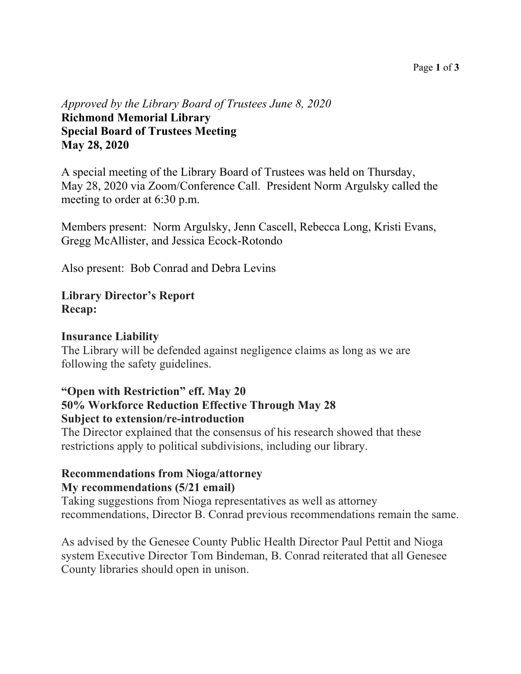#### Page **1** of **3**

### *Approved by the Library Board of Trustees June 8, 2020* **Richmond Memorial Library Special Board of Trustees Meeting May 28, 2020**

A special meeting of the Library Board of Trustees was held on Thursday, May 28, 2020 via Zoom/Conference Call. President Norm Argulsky called the meeting to order at 6:30 p.m.

Members present: Norm Argulsky, Jenn Cascell, Rebecca Long, Kristi Evans, Gregg McAllister, and Jessica Ecock-Rotondo

Also present: Bob Conrad and Debra Levins

#### **Library Director's Report Recap:**

#### **Insurance Liability**

The Library will be defended against negligence claims as long as we are following the safety guidelines.

#### **"Open with Restriction" eff. May 20 50% Workforce Reduction Effective Through May 28 Subject to extension/re-introduction**

The Director explained that the consensus of his research showed that these restrictions apply to political subdivisions, including our library.

### **Recommendations from Nioga/attorney My recommendations (5/21 email)**

Taking suggestions from Nioga representatives as well as attorney recommendations, Director B. Conrad previous recommendations remain the same.

As advised by the Genesee County Public Health Director Paul Pettit and Nioga system Executive Director Tom Bindeman, B. Conrad reiterated that all Genesee County libraries should open in unison.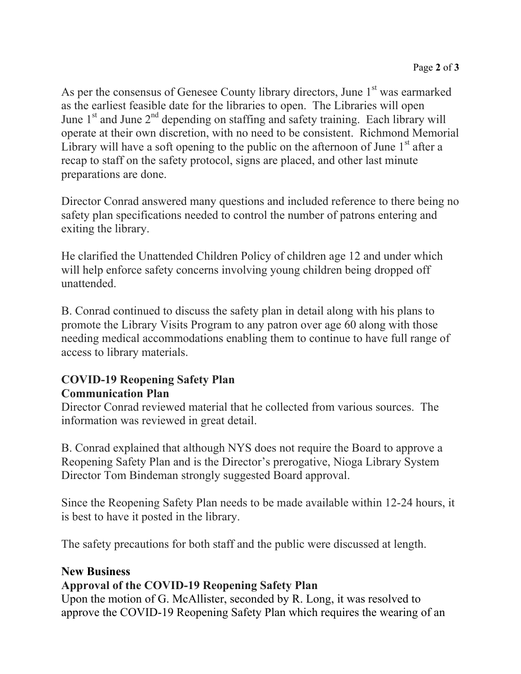As per the consensus of Genesee County library directors, June 1<sup>st</sup> was earmarked as the earliest feasible date for the libraries to open. The Libraries will open June  $1<sup>st</sup>$  and June  $2<sup>nd</sup>$  depending on staffing and safety training. Each library will operate at their own discretion, with no need to be consistent. Richmond Memorial Library will have a soft opening to the public on the afternoon of June  $1<sup>st</sup>$  after a recap to staff on the safety protocol, signs are placed, and other last minute preparations are done.

Director Conrad answered many questions and included reference to there being no safety plan specifications needed to control the number of patrons entering and exiting the library.

He clarified the Unattended Children Policy of children age 12 and under which will help enforce safety concerns involving young children being dropped off unattended.

B. Conrad continued to discuss the safety plan in detail along with his plans to promote the Library Visits Program to any patron over age 60 along with those needing medical accommodations enabling them to continue to have full range of access to library materials.

## **COVID-19 Reopening Safety Plan Communication Plan**

Director Conrad reviewed material that he collected from various sources. The information was reviewed in great detail.

B. Conrad explained that although NYS does not require the Board to approve a Reopening Safety Plan and is the Director's prerogative, Nioga Library System Director Tom Bindeman strongly suggested Board approval.

Since the Reopening Safety Plan needs to be made available within 12-24 hours, it is best to have it posted in the library.

The safety precautions for both staff and the public were discussed at length.

## **New Business**

## **Approval of the COVID-19 Reopening Safety Plan**

Upon the motion of G. McAllister, seconded by R. Long, it was resolved to approve the COVID-19 Reopening Safety Plan which requires the wearing of an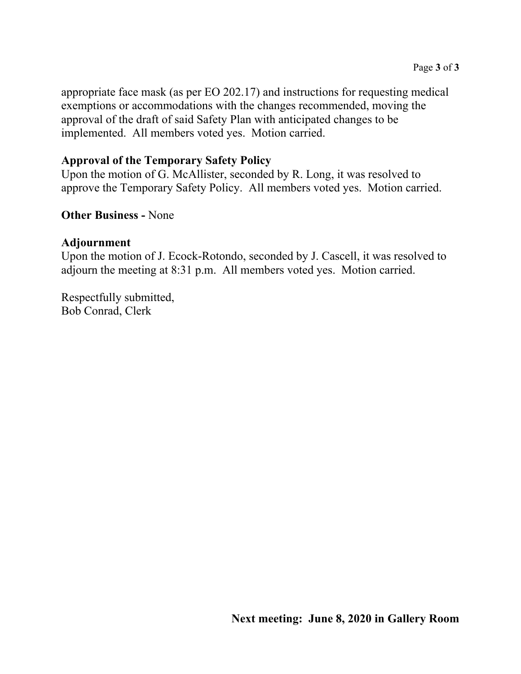appropriate face mask (as per EO 202.17) and instructions for requesting medical exemptions or accommodations with the changes recommended, moving the approval of the draft of said Safety Plan with anticipated changes to be implemented. All members voted yes. Motion carried.

## **Approval of the Temporary Safety Policy**

Upon the motion of G. McAllister, seconded by R. Long, it was resolved to approve the Temporary Safety Policy. All members voted yes. Motion carried.

### **Other Business -** None

#### **Adjournment**

Upon the motion of J. Ecock-Rotondo, seconded by J. Cascell, it was resolved to adjourn the meeting at 8:31 p.m. All members voted yes. Motion carried.

Respectfully submitted, Bob Conrad, Clerk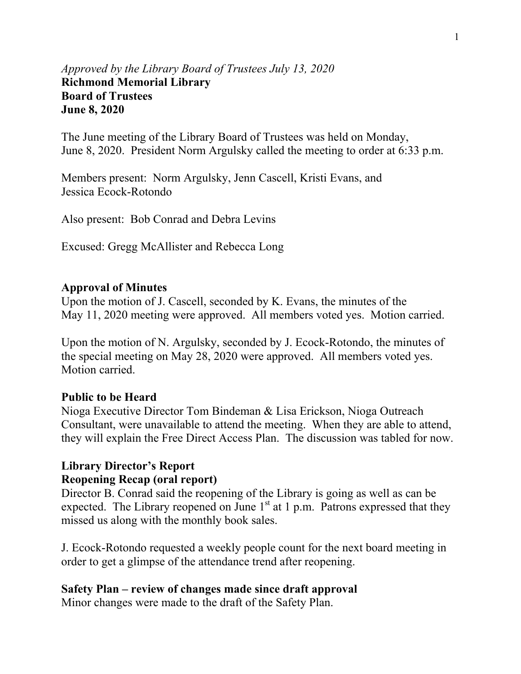#### *Approved by the Library Board of Trustees July 13, 2020* **Richmond Memorial Library Board of Trustees June 8, 2020**

The June meeting of the Library Board of Trustees was held on Monday, June 8, 2020. President Norm Argulsky called the meeting to order at 6:33 p.m.

Members present: Norm Argulsky, Jenn Cascell, Kristi Evans, and Jessica Ecock-Rotondo

Also present: Bob Conrad and Debra Levins

Excused: Gregg McAllister and Rebecca Long

#### **Approval of Minutes**

Upon the motion of J. Cascell, seconded by K. Evans, the minutes of the May 11, 2020 meeting were approved. All members voted yes. Motion carried.

Upon the motion of N. Argulsky, seconded by J. Ecock-Rotondo, the minutes of the special meeting on May 28, 2020 were approved. All members voted yes. Motion carried.

#### **Public to be Heard**

Nioga Executive Director Tom Bindeman & Lisa Erickson, Nioga Outreach Consultant, were unavailable to attend the meeting. When they are able to attend, they will explain the Free Direct Access Plan. The discussion was tabled for now.

### **Library Director's Report Reopening Recap (oral report)**

Director B. Conrad said the reopening of the Library is going as well as can be expected. The Library reopened on June  $1<sup>st</sup>$  at 1 p.m. Patrons expressed that they missed us along with the monthly book sales.

J. Ecock-Rotondo requested a weekly people count for the next board meeting in order to get a glimpse of the attendance trend after reopening.

#### **Safety Plan – review of changes made since draft approval**

Minor changes were made to the draft of the Safety Plan.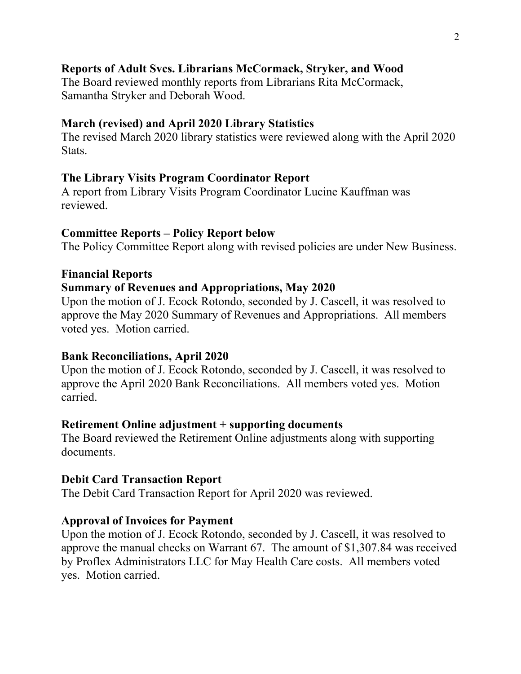### **Reports of Adult Svcs. Librarians McCormack, Stryker, and Wood**

The Board reviewed monthly reports from Librarians Rita McCormack, Samantha Stryker and Deborah Wood.

#### **March (revised) and April 2020 Library Statistics**

The revised March 2020 library statistics were reviewed along with the April 2020 Stats.

#### **The Library Visits Program Coordinator Report**

A report from Library Visits Program Coordinator Lucine Kauffman was reviewed.

#### **Committee Reports – Policy Report below**

The Policy Committee Report along with revised policies are under New Business.

#### **Financial Reports**

#### **Summary of Revenues and Appropriations, May 2020**

Upon the motion of J. Ecock Rotondo, seconded by J. Cascell, it was resolved to approve the May 2020 Summary of Revenues and Appropriations. All members voted yes. Motion carried.

#### **Bank Reconciliations, April 2020**

Upon the motion of J. Ecock Rotondo, seconded by J. Cascell, it was resolved to approve the April 2020 Bank Reconciliations. All members voted yes. Motion carried.

#### **Retirement Online adjustment + supporting documents**

The Board reviewed the Retirement Online adjustments along with supporting documents.

#### **Debit Card Transaction Report**

The Debit Card Transaction Report for April 2020 was reviewed.

#### **Approval of Invoices for Payment**

Upon the motion of J. Ecock Rotondo, seconded by J. Cascell, it was resolved to approve the manual checks on Warrant 67. The amount of \$1,307.84 was received by Proflex Administrators LLC for May Health Care costs. All members voted yes. Motion carried.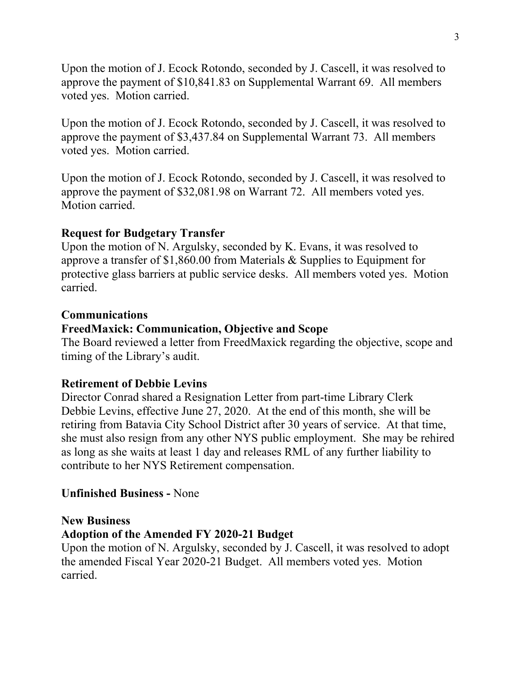Upon the motion of J. Ecock Rotondo, seconded by J. Cascell, it was resolved to approve the payment of \$10,841.83 on Supplemental Warrant 69. All members voted yes. Motion carried.

Upon the motion of J. Ecock Rotondo, seconded by J. Cascell, it was resolved to approve the payment of \$3,437.84 on Supplemental Warrant 73. All members voted yes. Motion carried.

Upon the motion of J. Ecock Rotondo, seconded by J. Cascell, it was resolved to approve the payment of \$32,081.98 on Warrant 72. All members voted yes. Motion carried.

#### **Request for Budgetary Transfer**

Upon the motion of N. Argulsky, seconded by K. Evans, it was resolved to approve a transfer of \$1,860.00 from Materials & Supplies to Equipment for protective glass barriers at public service desks. All members voted yes. Motion carried.

#### **Communications**

#### **FreedMaxick: Communication, Objective and Scope**

The Board reviewed a letter from FreedMaxick regarding the objective, scope and timing of the Library's audit.

#### **Retirement of Debbie Levins**

Director Conrad shared a Resignation Letter from part-time Library Clerk Debbie Levins, effective June 27, 2020. At the end of this month, she will be retiring from Batavia City School District after 30 years of service. At that time, she must also resign from any other NYS public employment. She may be rehired as long as she waits at least 1 day and releases RML of any further liability to contribute to her NYS Retirement compensation.

#### **Unfinished Business -** None

#### **New Business**

#### **Adoption of the Amended FY 2020-21 Budget**

Upon the motion of N. Argulsky, seconded by J. Cascell, it was resolved to adopt the amended Fiscal Year 2020-21 Budget. All members voted yes. Motion carried.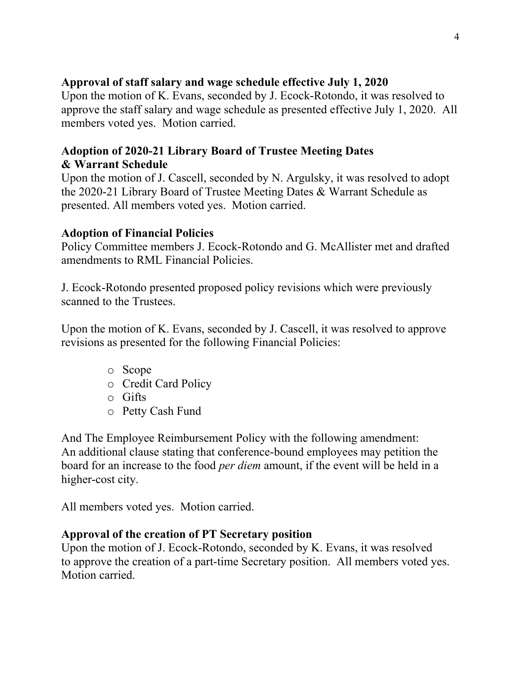## **Approval of staff salary and wage schedule effective July 1, 2020**

Upon the motion of K. Evans, seconded by J. Ecock-Rotondo, it was resolved to approve the staff salary and wage schedule as presented effective July 1, 2020. All members voted yes. Motion carried.

## **Adoption of 2020-21 Library Board of Trustee Meeting Dates & Warrant Schedule**

Upon the motion of J. Cascell, seconded by N. Argulsky, it was resolved to adopt the 2020-21 Library Board of Trustee Meeting Dates & Warrant Schedule as presented. All members voted yes. Motion carried.

### **Adoption of Financial Policies**

Policy Committee members J. Ecock-Rotondo and G. McAllister met and drafted amendments to RML Financial Policies.

J. Ecock-Rotondo presented proposed policy revisions which were previously scanned to the Trustees.

Upon the motion of K. Evans, seconded by J. Cascell, it was resolved to approve revisions as presented for the following Financial Policies:

- o Scope
- o Credit Card Policy
- o Gifts
- o Petty Cash Fund

And The Employee Reimbursement Policy with the following amendment: An additional clause stating that conference-bound employees may petition the board for an increase to the food *per diem* amount, if the event will be held in a higher-cost city.

All members voted yes. Motion carried.

## **Approval of the creation of PT Secretary position**

Upon the motion of J. Ecock-Rotondo, seconded by K. Evans, it was resolved to approve the creation of a part-time Secretary position. All members voted yes. Motion carried.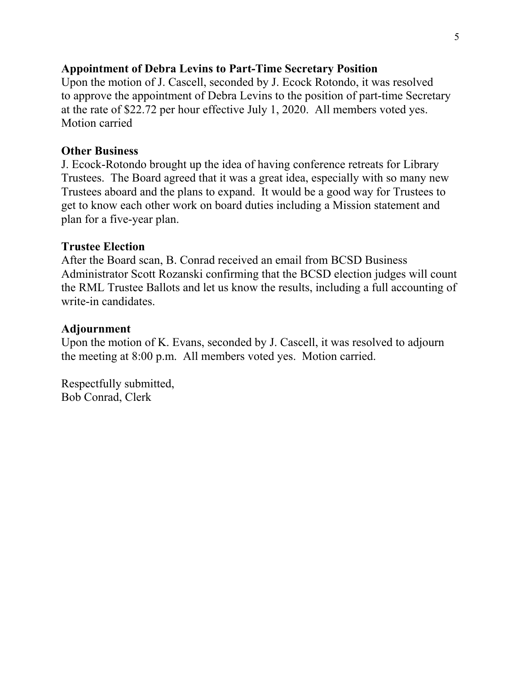#### **Appointment of Debra Levins to Part-Time Secretary Position**

Upon the motion of J. Cascell, seconded by J. Ecock Rotondo, it was resolved to approve the appointment of Debra Levins to the position of part-time Secretary at the rate of \$22.72 per hour effective July 1, 2020. All members voted yes. Motion carried

#### **Other Business**

J. Ecock-Rotondo brought up the idea of having conference retreats for Library Trustees. The Board agreed that it was a great idea, especially with so many new Trustees aboard and the plans to expand. It would be a good way for Trustees to get to know each other work on board duties including a Mission statement and plan for a five-year plan.

#### **Trustee Election**

After the Board scan, B. Conrad received an email from BCSD Business Administrator Scott Rozanski confirming that the BCSD election judges will count the RML Trustee Ballots and let us know the results, including a full accounting of write-in candidates.

#### **Adjournment**

Upon the motion of K. Evans, seconded by J. Cascell, it was resolved to adjourn the meeting at 8:00 p.m. All members voted yes. Motion carried.

Respectfully submitted, Bob Conrad, Clerk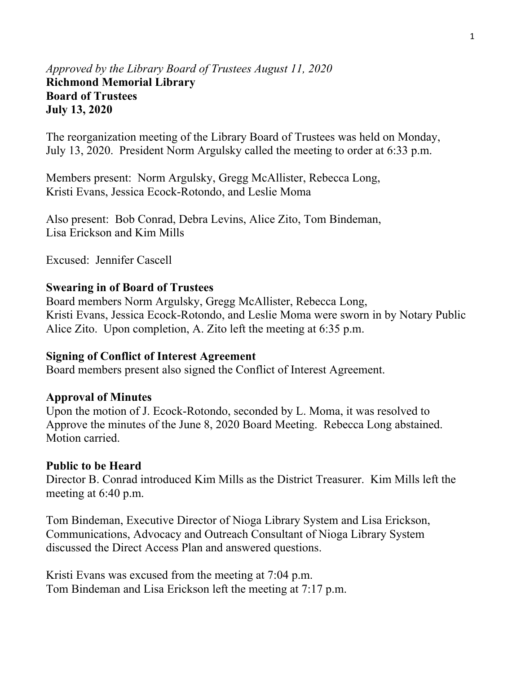#### *Approved by the Library Board of Trustees August 11, 2020*  **Richmond Memorial Library Board of Trustees July 13, 2020**

The reorganization meeting of the Library Board of Trustees was held on Monday, July 13, 2020. President Norm Argulsky called the meeting to order at 6:33 p.m.

Members present: Norm Argulsky, Gregg McAllister, Rebecca Long, Kristi Evans, Jessica Ecock-Rotondo, and Leslie Moma

Also present: Bob Conrad, Debra Levins, Alice Zito, Tom Bindeman, Lisa Erickson and Kim Mills

Excused: Jennifer Cascell

#### **Swearing in of Board of Trustees**

Board members Norm Argulsky, Gregg McAllister, Rebecca Long, Kristi Evans, Jessica Ecock-Rotondo, and Leslie Moma were sworn in by Notary Public Alice Zito. Upon completion, A. Zito left the meeting at 6:35 p.m.

#### **Signing of Conflict of Interest Agreement**

Board members present also signed the Conflict of Interest Agreement.

#### **Approval of Minutes**

Upon the motion of J. Ecock-Rotondo, seconded by L. Moma, it was resolved to Approve the minutes of the June 8, 2020 Board Meeting. Rebecca Long abstained. Motion carried.

#### **Public to be Heard**

Director B. Conrad introduced Kim Mills as the District Treasurer. Kim Mills left the meeting at 6:40 p.m.

Tom Bindeman, Executive Director of Nioga Library System and Lisa Erickson, Communications, Advocacy and Outreach Consultant of Nioga Library System discussed the Direct Access Plan and answered questions.

Kristi Evans was excused from the meeting at 7:04 p.m. Tom Bindeman and Lisa Erickson left the meeting at 7:17 p.m.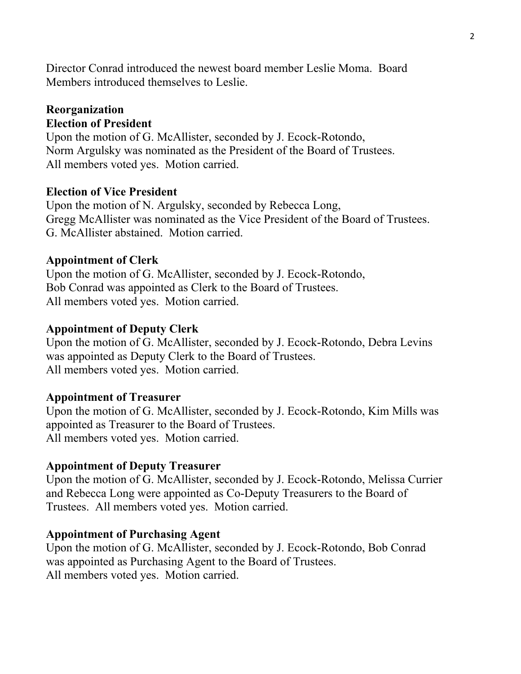Director Conrad introduced the newest board member Leslie Moma. Board Members introduced themselves to Leslie.

#### **Reorganization Election of President**

Upon the motion of G. McAllister, seconded by J. Ecock-Rotondo, Norm Argulsky was nominated as the President of the Board of Trustees. All members voted yes. Motion carried.

#### **Election of Vice President**

Upon the motion of N. Argulsky, seconded by Rebecca Long, Gregg McAllister was nominated as the Vice President of the Board of Trustees. G. McAllister abstained. Motion carried.

#### **Appointment of Clerk**

Upon the motion of G. McAllister, seconded by J. Ecock-Rotondo, Bob Conrad was appointed as Clerk to the Board of Trustees. All members voted yes. Motion carried.

#### **Appointment of Deputy Clerk**

Upon the motion of G. McAllister, seconded by J. Ecock-Rotondo, Debra Levins was appointed as Deputy Clerk to the Board of Trustees. All members voted yes. Motion carried.

#### **Appointment of Treasurer**

Upon the motion of G. McAllister, seconded by J. Ecock-Rotondo, Kim Mills was appointed as Treasurer to the Board of Trustees. All members voted yes. Motion carried.

#### **Appointment of Deputy Treasurer**

Upon the motion of G. McAllister, seconded by J. Ecock-Rotondo, Melissa Currier and Rebecca Long were appointed as Co-Deputy Treasurers to the Board of Trustees. All members voted yes. Motion carried.

#### **Appointment of Purchasing Agent**

Upon the motion of G. McAllister, seconded by J. Ecock-Rotondo, Bob Conrad was appointed as Purchasing Agent to the Board of Trustees. All members voted yes. Motion carried.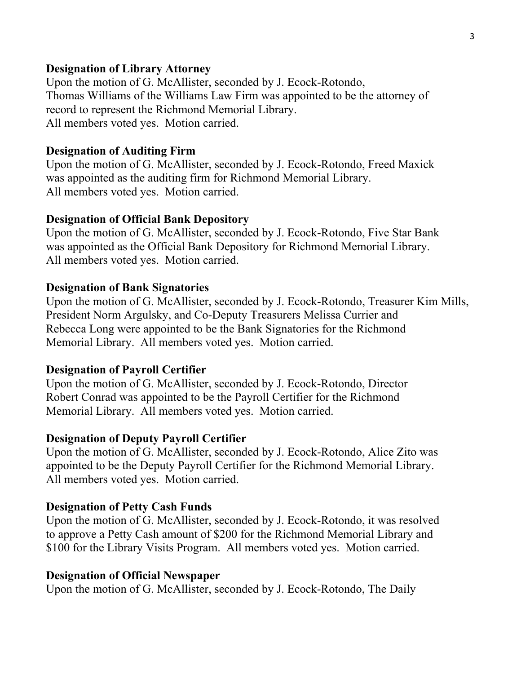#### **Designation of Library Attorney**

Upon the motion of G. McAllister, seconded by J. Ecock-Rotondo, Thomas Williams of the Williams Law Firm was appointed to be the attorney of record to represent the Richmond Memorial Library. All members voted yes. Motion carried.

#### **Designation of Auditing Firm**

Upon the motion of G. McAllister, seconded by J. Ecock-Rotondo, Freed Maxick was appointed as the auditing firm for Richmond Memorial Library. All members voted yes. Motion carried.

#### **Designation of Official Bank Depository**

Upon the motion of G. McAllister, seconded by J. Ecock-Rotondo, Five Star Bank was appointed as the Official Bank Depository for Richmond Memorial Library. All members voted yes. Motion carried.

#### **Designation of Bank Signatories**

Upon the motion of G. McAllister, seconded by J. Ecock-Rotondo, Treasurer Kim Mills, President Norm Argulsky, and Co-Deputy Treasurers Melissa Currier and Rebecca Long were appointed to be the Bank Signatories for the Richmond Memorial Library. All members voted yes. Motion carried.

#### **Designation of Payroll Certifier**

Upon the motion of G. McAllister, seconded by J. Ecock-Rotondo, Director Robert Conrad was appointed to be the Payroll Certifier for the Richmond Memorial Library. All members voted yes. Motion carried.

#### **Designation of Deputy Payroll Certifier**

Upon the motion of G. McAllister, seconded by J. Ecock-Rotondo, Alice Zito was appointed to be the Deputy Payroll Certifier for the Richmond Memorial Library. All members voted yes. Motion carried.

#### **Designation of Petty Cash Funds**

Upon the motion of G. McAllister, seconded by J. Ecock-Rotondo, it was resolved to approve a Petty Cash amount of \$200 for the Richmond Memorial Library and \$100 for the Library Visits Program. All members voted yes. Motion carried.

#### **Designation of Official Newspaper**

Upon the motion of G. McAllister, seconded by J. Ecock-Rotondo, The Daily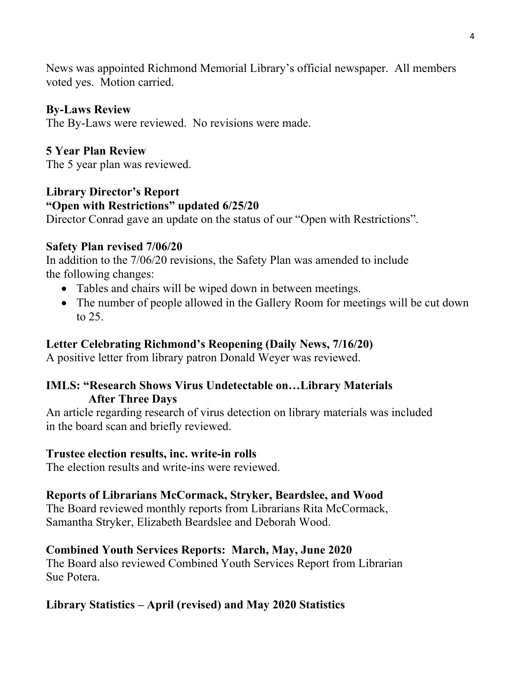News was appointed Richmond Memorial Library's official newspaper. All members voted yes. Motion carried.

#### **By-Laws Review**

The By-Laws were reviewed. No revisions were made.

### **5 Year Plan Review**

The 5 year plan was reviewed.

## **Library Director's Report "Open with Restrictions" updated 6/25/20**

Director Conrad gave an update on the status of our "Open with Restrictions".

#### **Safety Plan revised 7/06/20**

In addition to the 7/06/20 revisions, the Safety Plan was amended to include the following changes:

- Tables and chairs will be wiped down in between meetings.
- The number of people allowed in the Gallery Room for meetings will be cut down to 25.

## **Letter Celebrating Richmond's Reopening (Daily News, 7/16/20)**

A positive letter from library patron Donald Weyer was reviewed.

### **IMLS: "Research Shows Virus Undetectable on…Library Materials After Three Days**

An article regarding research of virus detection on library materials was included in the board scan and briefly reviewed.

#### **Trustee election results, inc. write-in rolls**

The election results and write-ins were reviewed.

## **Reports of Librarians McCormack, Stryker, Beardslee, and Wood**

The Board reviewed monthly reports from Librarians Rita McCormack, Samantha Stryker, Elizabeth Beardslee and Deborah Wood.

## **Combined Youth Services Reports: March, May, June 2020**

The Board also reviewed Combined Youth Services Report from Librarian Sue Potera.

#### **Library Statistics – April (revised) and May 2020 Statistics**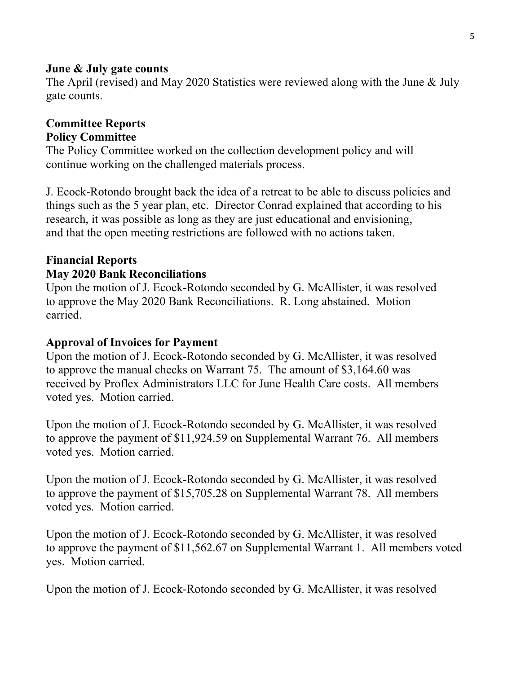#### **June & July gate counts**

The April (revised) and May 2020 Statistics were reviewed along with the June & July gate counts.

### **Committee Reports Policy Committee**

The Policy Committee worked on the collection development policy and will continue working on the challenged materials process.

J. Ecock-Rotondo brought back the idea of a retreat to be able to discuss policies and things such as the 5 year plan, etc. Director Conrad explained that according to his research, it was possible as long as they are just educational and envisioning, and that the open meeting restrictions are followed with no actions taken.

## **Financial Reports May 2020 Bank Reconciliations**

Upon the motion of J. Ecock-Rotondo seconded by G. McAllister, it was resolved to approve the May 2020 Bank Reconciliations. R. Long abstained. Motion carried.

#### **Approval of Invoices for Payment**

Upon the motion of J. Ecock-Rotondo seconded by G. McAllister, it was resolved to approve the manual checks on Warrant 75. The amount of \$3,164.60 was received by Proflex Administrators LLC for June Health Care costs. All members voted yes. Motion carried.

Upon the motion of J. Ecock-Rotondo seconded by G. McAllister, it was resolved to approve the payment of \$11,924.59 on Supplemental Warrant 76. All members voted yes. Motion carried.

Upon the motion of J. Ecock-Rotondo seconded by G. McAllister, it was resolved to approve the payment of \$15,705.28 on Supplemental Warrant 78. All members voted yes. Motion carried.

Upon the motion of J. Ecock-Rotondo seconded by G. McAllister, it was resolved to approve the payment of \$11,562.67 on Supplemental Warrant 1. All members voted yes. Motion carried.

Upon the motion of J. Ecock-Rotondo seconded by G. McAllister, it was resolved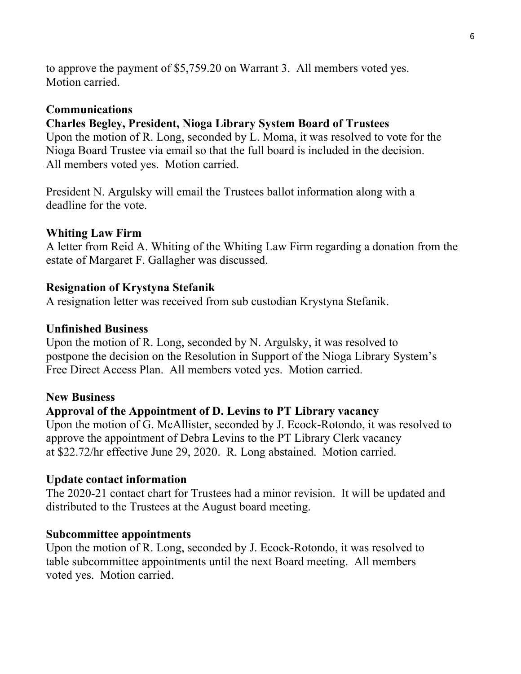to approve the payment of \$5,759.20 on Warrant 3. All members voted yes. Motion carried.

#### **Communications**

#### **Charles Begley, President, Nioga Library System Board of Trustees**

Upon the motion of R. Long, seconded by L. Moma, it was resolved to vote for the Nioga Board Trustee via email so that the full board is included in the decision. All members voted yes. Motion carried.

President N. Argulsky will email the Trustees ballot information along with a deadline for the vote.

#### **Whiting Law Firm**

A letter from Reid A. Whiting of the Whiting Law Firm regarding a donation from the estate of Margaret F. Gallagher was discussed.

#### **Resignation of Krystyna Stefanik**

A resignation letter was received from sub custodian Krystyna Stefanik.

#### **Unfinished Business**

Upon the motion of R. Long, seconded by N. Argulsky, it was resolved to postpone the decision on the Resolution in Support of the Nioga Library System's Free Direct Access Plan. All members voted yes. Motion carried.

#### **New Business**

#### **Approval of the Appointment of D. Levins to PT Library vacancy**

Upon the motion of G. McAllister, seconded by J. Ecock-Rotondo, it was resolved to approve the appointment of Debra Levins to the PT Library Clerk vacancy at \$22.72/hr effective June 29, 2020. R. Long abstained. Motion carried.

#### **Update contact information**

The 2020-21 contact chart for Trustees had a minor revision. It will be updated and distributed to the Trustees at the August board meeting.

#### **Subcommittee appointments**

Upon the motion of R. Long, seconded by J. Ecock-Rotondo, it was resolved to table subcommittee appointments until the next Board meeting. All members voted yes. Motion carried.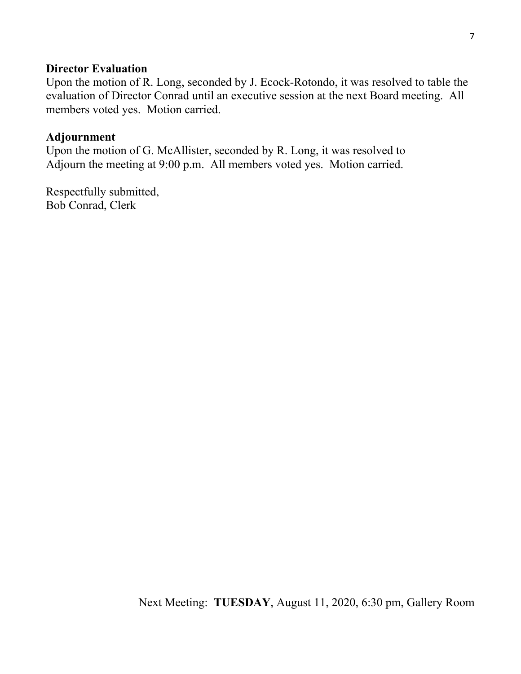#### **Director Evaluation**

Upon the motion of R. Long, seconded by J. Ecock-Rotondo, it was resolved to table the evaluation of Director Conrad until an executive session at the next Board meeting. All members voted yes. Motion carried.

#### **Adjournment**

Upon the motion of G. McAllister, seconded by R. Long, it was resolved to Adjourn the meeting at 9:00 p.m. All members voted yes. Motion carried.

Respectfully submitted, Bob Conrad, Clerk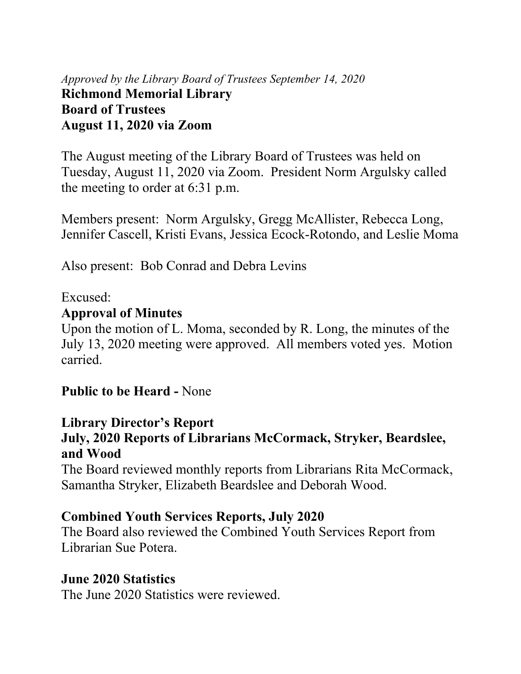*Approved by the Library Board of Trustees September 14, 2020* **Richmond Memorial Library Board of Trustees August 11, 2020 via Zoom** 

The August meeting of the Library Board of Trustees was held on Tuesday, August 11, 2020 via Zoom. President Norm Argulsky called the meeting to order at 6:31 p.m.

Members present: Norm Argulsky, Gregg McAllister, Rebecca Long, Jennifer Cascell, Kristi Evans, Jessica Ecock-Rotondo, and Leslie Moma

Also present: Bob Conrad and Debra Levins

Excused:

## **Approval of Minutes**

Upon the motion of L. Moma, seconded by R. Long, the minutes of the July 13, 2020 meeting were approved. All members voted yes. Motion carried.

**Public to be Heard -** None

## **Library Director's Report**

## **July, 2020 Reports of Librarians McCormack, Stryker, Beardslee, and Wood**

The Board reviewed monthly reports from Librarians Rita McCormack, Samantha Stryker, Elizabeth Beardslee and Deborah Wood.

## **Combined Youth Services Reports, July 2020**

The Board also reviewed the Combined Youth Services Report from Librarian Sue Potera.

## **June 2020 Statistics**

The June 2020 Statistics were reviewed.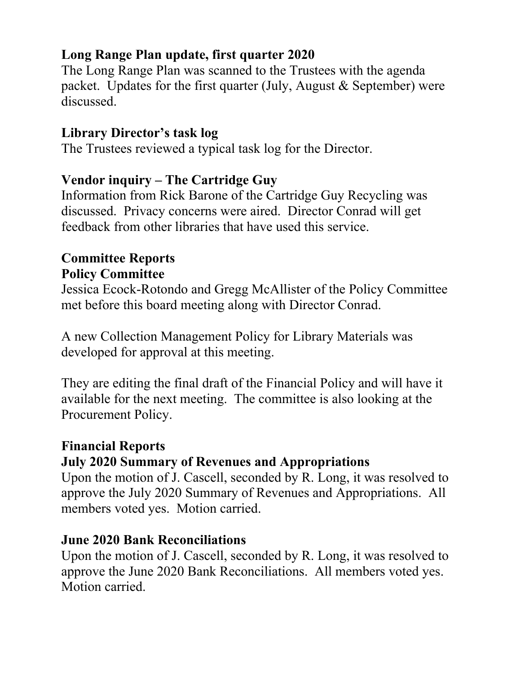## **Long Range Plan update, first quarter 2020**

The Long Range Plan was scanned to the Trustees with the agenda packet. Updates for the first quarter (July, August  $&$  September) were discussed.

## **Library Director's task log**

The Trustees reviewed a typical task log for the Director.

## **Vendor inquiry – The Cartridge Guy**

Information from Rick Barone of the Cartridge Guy Recycling was discussed. Privacy concerns were aired. Director Conrad will get feedback from other libraries that have used this service.

## **Committee Reports Policy Committee**

Jessica Ecock-Rotondo and Gregg McAllister of the Policy Committee met before this board meeting along with Director Conrad.

A new Collection Management Policy for Library Materials was developed for approval at this meeting.

They are editing the final draft of the Financial Policy and will have it available for the next meeting. The committee is also looking at the Procurement Policy.

## **Financial Reports**

## **July 2020 Summary of Revenues and Appropriations**

Upon the motion of J. Cascell, seconded by R. Long, it was resolved to approve the July 2020 Summary of Revenues and Appropriations. All members voted yes. Motion carried.

## **June 2020 Bank Reconciliations**

Upon the motion of J. Cascell, seconded by R. Long, it was resolved to approve the June 2020 Bank Reconciliations. All members voted yes. Motion carried.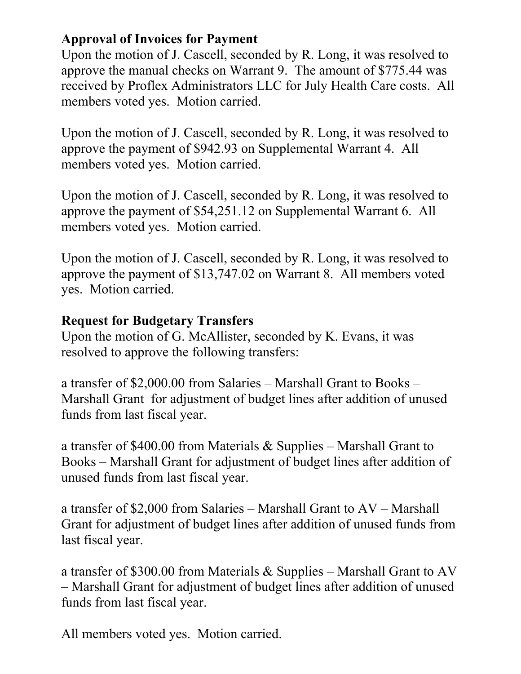## **Approval of Invoices for Payment**

Upon the motion of J. Cascell, seconded by R. Long, it was resolved to approve the manual checks on Warrant 9. The amount of \$775.44 was received by Proflex Administrators LLC for July Health Care costs. All members voted yes. Motion carried.

Upon the motion of J. Cascell, seconded by R. Long, it was resolved to approve the payment of \$942.93 on Supplemental Warrant 4. All members voted yes. Motion carried.

Upon the motion of J. Cascell, seconded by R. Long, it was resolved to approve the payment of \$54,251.12 on Supplemental Warrant 6. All members voted yes. Motion carried.

Upon the motion of J. Cascell, seconded by R. Long, it was resolved to approve the payment of \$13,747.02 on Warrant 8. All members voted yes. Motion carried.

## **Request for Budgetary Transfers**

Upon the motion of G. McAllister, seconded by K. Evans, it was resolved to approve the following transfers:

a transfer of \$2,000.00 from Salaries – Marshall Grant to Books – Marshall Grant for adjustment of budget lines after addition of unused funds from last fiscal year.

a transfer of \$400.00 from Materials & Supplies – Marshall Grant to Books – Marshall Grant for adjustment of budget lines after addition of unused funds from last fiscal year.

a transfer of \$2,000 from Salaries – Marshall Grant to AV – Marshall Grant for adjustment of budget lines after addition of unused funds from last fiscal year.

a transfer of \$300.00 from Materials & Supplies – Marshall Grant to AV – Marshall Grant for adjustment of budget lines after addition of unused funds from last fiscal year.

All members voted yes. Motion carried.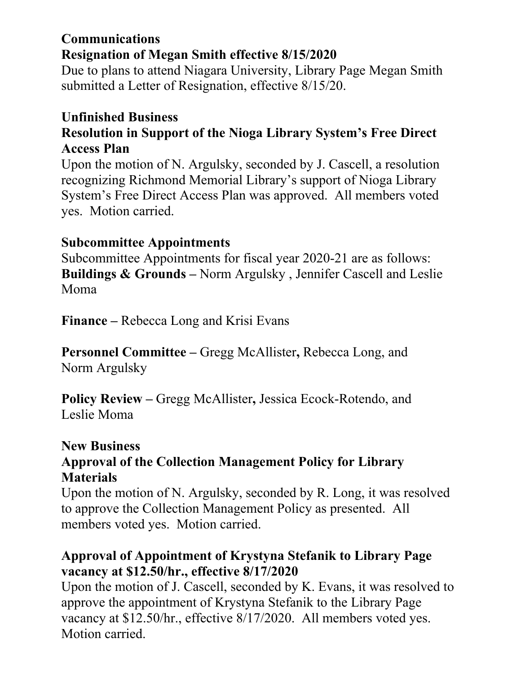## **Communications Resignation of Megan Smith effective 8/15/2020**

Due to plans to attend Niagara University, Library Page Megan Smith submitted a Letter of Resignation, effective 8/15/20.

## **Unfinished Business Resolution in Support of the Nioga Library System's Free Direct Access Plan**

Upon the motion of N. Argulsky, seconded by J. Cascell, a resolution recognizing Richmond Memorial Library's support of Nioga Library System's Free Direct Access Plan was approved. All members voted yes. Motion carried.

## **Subcommittee Appointments**

Subcommittee Appointments for fiscal year 2020-21 are as follows: **Buildings & Grounds –** Norm Argulsky , Jennifer Cascell and Leslie Moma

**Finance –** Rebecca Long and Krisi Evans

**Personnel Committee –** Gregg McAllister**,** Rebecca Long, and Norm Argulsky

**Policy Review –** Gregg McAllister**,** Jessica Ecock-Rotendo, and Leslie Moma

## **New Business**

## **Approval of the Collection Management Policy for Library Materials**

Upon the motion of N. Argulsky, seconded by R. Long, it was resolved to approve the Collection Management Policy as presented. All members voted yes. Motion carried.

## **Approval of Appointment of Krystyna Stefanik to Library Page vacancy at \$12.50/hr., effective 8/17/2020**

Upon the motion of J. Cascell, seconded by K. Evans, it was resolved to approve the appointment of Krystyna Stefanik to the Library Page vacancy at \$12.50/hr., effective 8/17/2020. All members voted yes. Motion carried.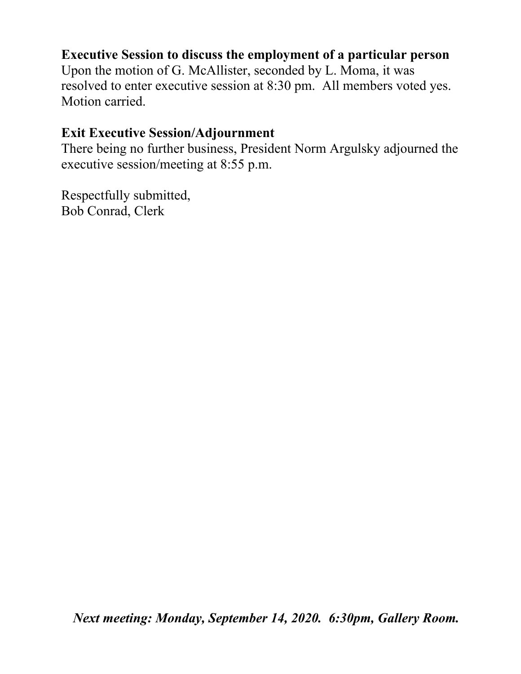## **Executive Session to discuss the employment of a particular person**

Upon the motion of G. McAllister, seconded by L. Moma, it was resolved to enter executive session at 8:30 pm.All members voted yes. Motion carried.

## **Exit Executive Session/Adjournment**

There being no further business, President Norm Argulsky adjourned the executive session/meeting at 8:55 p.m.

Respectfully submitted, Bob Conrad, Clerk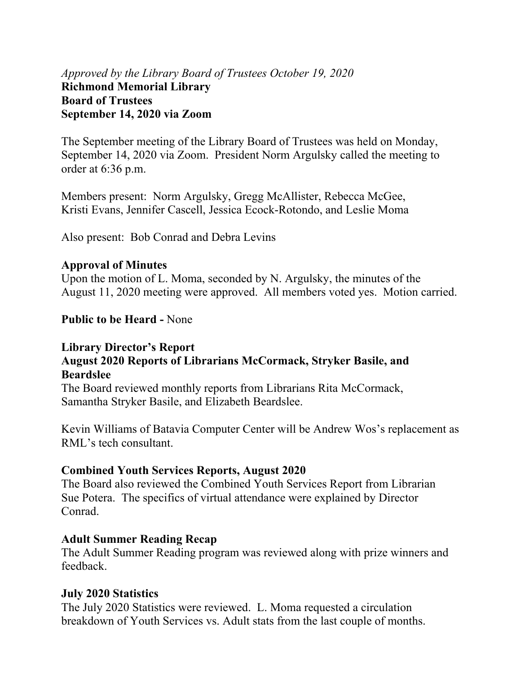## *Approved by the Library Board of Trustees October 19, 2020* **Richmond Memorial Library Board of Trustees September 14, 2020 via Zoom**

The September meeting of the Library Board of Trustees was held on Monday, September 14, 2020 via Zoom. President Norm Argulsky called the meeting to order at 6:36 p.m.

Members present: Norm Argulsky, Gregg McAllister, Rebecca McGee, Kristi Evans, Jennifer Cascell, Jessica Ecock-Rotondo, and Leslie Moma

Also present: Bob Conrad and Debra Levins

#### **Approval of Minutes**

Upon the motion of L. Moma, seconded by N. Argulsky, the minutes of the August 11, 2020 meeting were approved. All members voted yes. Motion carried.

**Public to be Heard -** None

#### **Library Director's Report August 2020 Reports of Librarians McCormack, Stryker Basile, and Beardslee**

The Board reviewed monthly reports from Librarians Rita McCormack, Samantha Stryker Basile, and Elizabeth Beardslee.

Kevin Williams of Batavia Computer Center will be Andrew Wos's replacement as RML's tech consultant.

#### **Combined Youth Services Reports, August 2020**

The Board also reviewed the Combined Youth Services Report from Librarian Sue Potera. The specifics of virtual attendance were explained by Director Conrad.

#### **Adult Summer Reading Recap**

The Adult Summer Reading program was reviewed along with prize winners and feedback.

#### **July 2020 Statistics**

The July 2020 Statistics were reviewed. L. Moma requested a circulation breakdown of Youth Services vs. Adult stats from the last couple of months.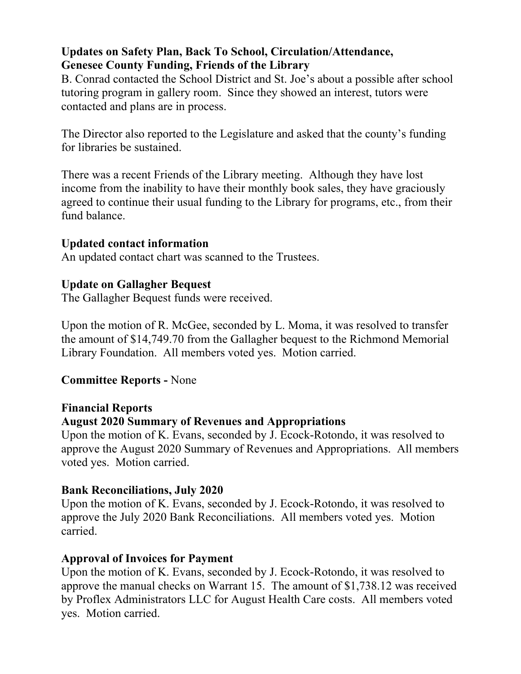## **Updates on Safety Plan, Back To School, Circulation/Attendance, Genesee County Funding, Friends of the Library**

B. Conrad contacted the School District and St. Joe's about a possible after school tutoring program in gallery room. Since they showed an interest, tutors were contacted and plans are in process.

The Director also reported to the Legislature and asked that the county's funding for libraries be sustained.

There was a recent Friends of the Library meeting. Although they have lost income from the inability to have their monthly book sales, they have graciously agreed to continue their usual funding to the Library for programs, etc., from their fund balance.

## **Updated contact information**

An updated contact chart was scanned to the Trustees.

## **Update on Gallagher Bequest**

The Gallagher Bequest funds were received.

Upon the motion of R. McGee, seconded by L. Moma, it was resolved to transfer the amount of \$14,749.70 from the Gallagher bequest to the Richmond Memorial Library Foundation. All members voted yes. Motion carried.

## **Committee Reports -** None

## **Financial Reports**

## **August 2020 Summary of Revenues and Appropriations**

Upon the motion of K. Evans, seconded by J. Ecock-Rotondo, it was resolved to approve the August 2020 Summary of Revenues and Appropriations. All members voted yes. Motion carried.

## **Bank Reconciliations, July 2020**

Upon the motion of K. Evans, seconded by J. Ecock-Rotondo, it was resolved to approve the July 2020 Bank Reconciliations. All members voted yes. Motion carried.

## **Approval of Invoices for Payment**

Upon the motion of K. Evans, seconded by J. Ecock-Rotondo, it was resolved to approve the manual checks on Warrant 15. The amount of \$1,738.12 was received by Proflex Administrators LLC for August Health Care costs. All members voted yes. Motion carried.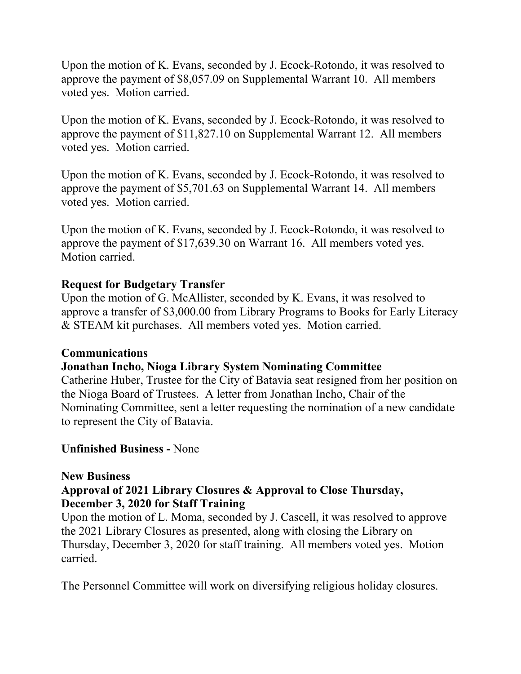Upon the motion of K. Evans, seconded by J. Ecock-Rotondo, it was resolved to approve the payment of \$8,057.09 on Supplemental Warrant 10. All members voted yes. Motion carried.

Upon the motion of K. Evans, seconded by J. Ecock-Rotondo, it was resolved to approve the payment of \$11,827.10 on Supplemental Warrant 12. All members voted yes. Motion carried.

Upon the motion of K. Evans, seconded by J. Ecock-Rotondo, it was resolved to approve the payment of \$5,701.63 on Supplemental Warrant 14. All members voted yes. Motion carried.

Upon the motion of K. Evans, seconded by J. Ecock-Rotondo, it was resolved to approve the payment of \$17,639.30 on Warrant 16. All members voted yes. Motion carried.

### **Request for Budgetary Transfer**

Upon the motion of G. McAllister, seconded by K. Evans, it was resolved to approve a transfer of \$3,000.00 from Library Programs to Books for Early Literacy & STEAM kit purchases. All members voted yes. Motion carried.

#### **Communications**

#### **Jonathan Incho, Nioga Library System Nominating Committee**

Catherine Huber, Trustee for the City of Batavia seat resigned from her position on the Nioga Board of Trustees. A letter from Jonathan Incho, Chair of the Nominating Committee, sent a letter requesting the nomination of a new candidate to represent the City of Batavia.

#### **Unfinished Business -** None

#### **New Business**

### **Approval of 2021 Library Closures & Approval to Close Thursday, December 3, 2020 for Staff Training**

Upon the motion of L. Moma, seconded by J. Cascell, it was resolved to approve the 2021 Library Closures as presented, along with closing the Library on Thursday, December 3, 2020 for staff training. All members voted yes. Motion carried.

The Personnel Committee will work on diversifying religious holiday closures.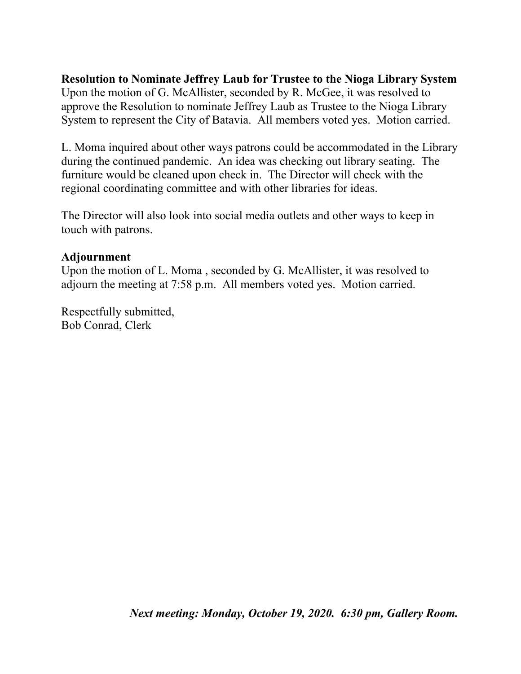**Resolution to Nominate Jeffrey Laub for Trustee to the Nioga Library System**  Upon the motion of G. McAllister, seconded by R. McGee, it was resolved to approve the Resolution to nominate Jeffrey Laub as Trustee to the Nioga Library System to represent the City of Batavia. All members voted yes. Motion carried.

L. Moma inquired about other ways patrons could be accommodated in the Library during the continued pandemic. An idea was checking out library seating. The furniture would be cleaned upon check in. The Director will check with the regional coordinating committee and with other libraries for ideas.

The Director will also look into social media outlets and other ways to keep in touch with patrons.

#### **Adjournment**

Upon the motion of L. Moma , seconded by G. McAllister, it was resolved to adjourn the meeting at 7:58 p.m. All members voted yes. Motion carried.

Respectfully submitted, Bob Conrad, Clerk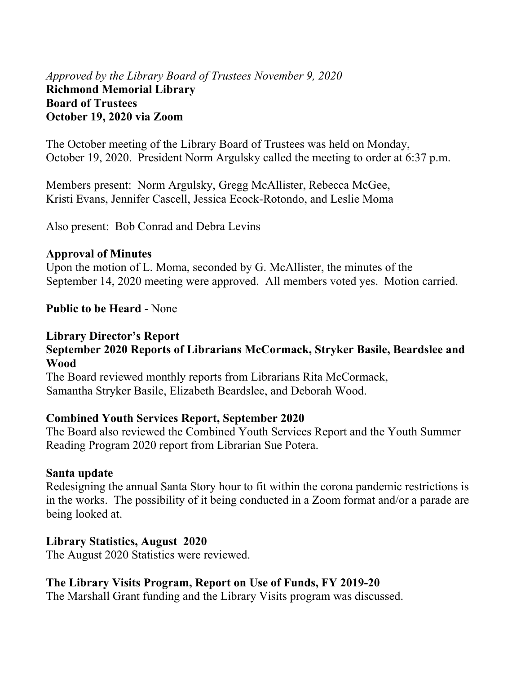## *Approved by the Library Board of Trustees November 9, 2020* **Richmond Memorial Library Board of Trustees October 19, 2020 via Zoom**

The October meeting of the Library Board of Trustees was held on Monday, October 19, 2020. President Norm Argulsky called the meeting to order at 6:37 p.m.

Members present: Norm Argulsky, Gregg McAllister, Rebecca McGee, Kristi Evans, Jennifer Cascell, Jessica Ecock-Rotondo, and Leslie Moma

Also present: Bob Conrad and Debra Levins

#### **Approval of Minutes**

Upon the motion of L. Moma, seconded by G. McAllister, the minutes of the September 14, 2020 meeting were approved. All members voted yes. Motion carried.

#### **Public to be Heard** - None

#### **Library Director's Report**

#### **September 2020 Reports of Librarians McCormack, Stryker Basile, Beardslee and Wood**

The Board reviewed monthly reports from Librarians Rita McCormack, Samantha Stryker Basile, Elizabeth Beardslee, and Deborah Wood.

#### **Combined Youth Services Report, September 2020**

The Board also reviewed the Combined Youth Services Report and the Youth Summer Reading Program 2020 report from Librarian Sue Potera.

#### **Santa update**

Redesigning the annual Santa Story hour to fit within the corona pandemic restrictions is in the works. The possibility of it being conducted in a Zoom format and/or a parade are being looked at.

#### **Library Statistics, August 2020**

The August 2020 Statistics were reviewed.

#### **The Library Visits Program, Report on Use of Funds, FY 2019-20**

The Marshall Grant funding and the Library Visits program was discussed.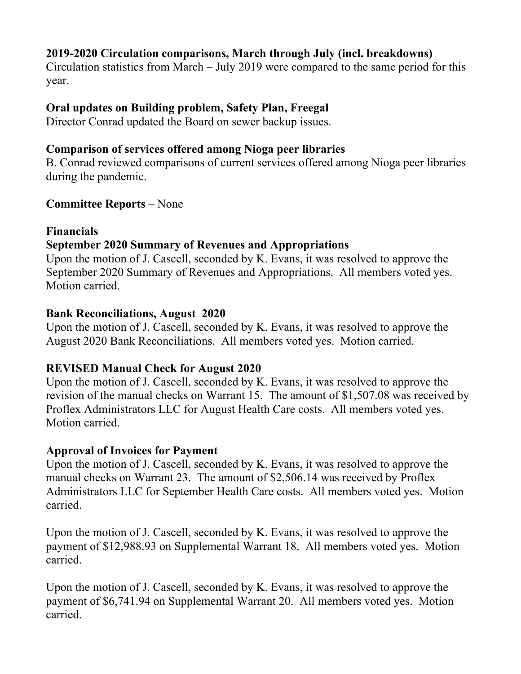## **2019-2020 Circulation comparisons, March through July (incl. breakdowns)**

Circulation statistics from March – July 2019 were compared to the same period for this year.

### **Oral updates on Building problem, Safety Plan, Freegal**

Director Conrad updated the Board on sewer backup issues.

#### **Comparison of services offered among Nioga peer libraries**

B. Conrad reviewed comparisons of current services offered among Nioga peer libraries during the pandemic.

#### **Committee Reports** – None

#### **Financials**

## **September 2020 Summary of Revenues and Appropriations**

Upon the motion of J. Cascell, seconded by K. Evans, it was resolved to approve the September 2020 Summary of Revenues and Appropriations. All members voted yes. Motion carried.

#### **Bank Reconciliations, August 2020**

Upon the motion of J. Cascell, seconded by K. Evans, it was resolved to approve the August 2020 Bank Reconciliations. All members voted yes. Motion carried.

#### **REVISED Manual Check for August 2020**

Upon the motion of J. Cascell, seconded by K. Evans, it was resolved to approve the revision of the manual checks on Warrant 15. The amount of \$1,507.08 was received by Proflex Administrators LLC for August Health Care costs. All members voted yes. Motion carried.

#### **Approval of Invoices for Payment**

Upon the motion of J. Cascell, seconded by K. Evans, it was resolved to approve the manual checks on Warrant 23. The amount of \$2,506.14 was received by Proflex Administrators LLC for September Health Care costs. All members voted yes. Motion carried.

Upon the motion of J. Cascell, seconded by K. Evans, it was resolved to approve the payment of \$12,988.93 on Supplemental Warrant 18. All members voted yes. Motion carried.

Upon the motion of J. Cascell, seconded by K. Evans, it was resolved to approve the payment of \$6,741.94 on Supplemental Warrant 20. All members voted yes. Motion carried.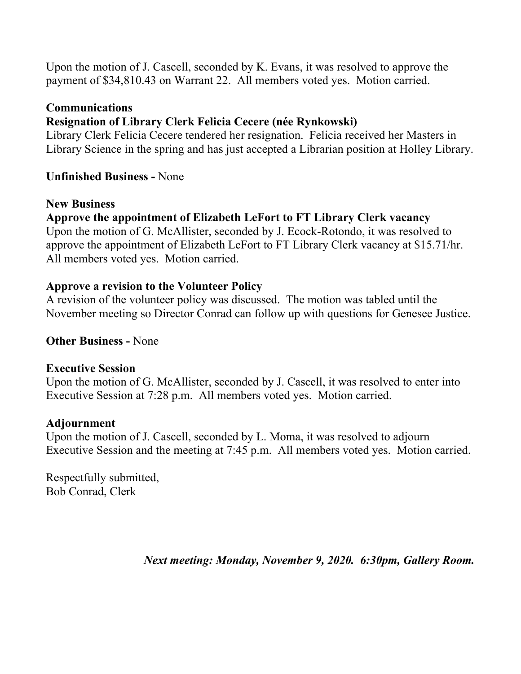Upon the motion of J. Cascell, seconded by K. Evans, it was resolved to approve the payment of \$34,810.43 on Warrant 22. All members voted yes. Motion carried.

#### **Communications**

## **Resignation of Library Clerk Felicia Cecere (née Rynkowski)**

Library Clerk Felicia Cecere tendered her resignation. Felicia received her Masters in Library Science in the spring and has just accepted a Librarian position at Holley Library.

### **Unfinished Business -** None

#### **New Business**

**Approve the appointment of Elizabeth LeFort to FT Library Clerk vacancy**  Upon the motion of G. McAllister, seconded by J. Ecock-Rotondo, it was resolved to approve the appointment of Elizabeth LeFort to FT Library Clerk vacancy at \$15.71/hr. All members voted yes. Motion carried.

#### **Approve a revision to the Volunteer Policy**

A revision of the volunteer policy was discussed. The motion was tabled until the November meeting so Director Conrad can follow up with questions for Genesee Justice.

### **Other Business -** None

#### **Executive Session**

Upon the motion of G. McAllister, seconded by J. Cascell, it was resolved to enter into Executive Session at 7:28 p.m. All members voted yes. Motion carried.

#### **Adjournment**

Upon the motion of J. Cascell, seconded by L. Moma, it was resolved to adjourn Executive Session and the meeting at 7:45 p.m. All members voted yes. Motion carried.

Respectfully submitted, Bob Conrad, Clerk

*Next meeting: Monday, November 9, 2020. 6:30pm, Gallery Room.*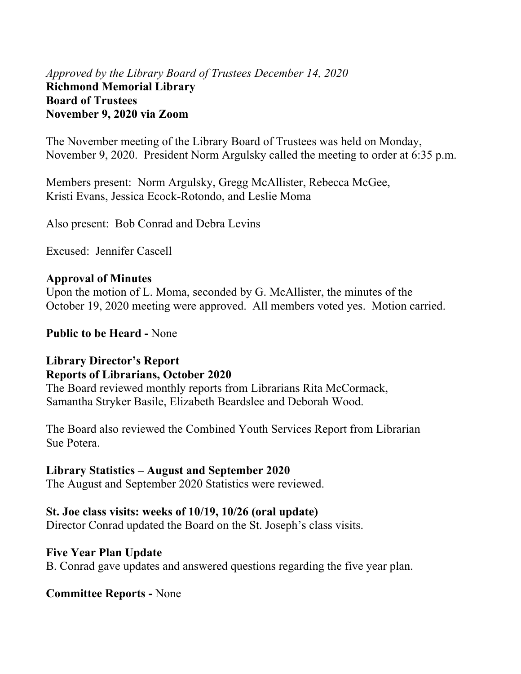## *Approved by the Library Board of Trustees December 14, 2020* **Richmond Memorial Library Board of Trustees November 9, 2020 via Zoom**

The November meeting of the Library Board of Trustees was held on Monday, November 9, 2020. President Norm Argulsky called the meeting to order at 6:35 p.m.

Members present: Norm Argulsky, Gregg McAllister, Rebecca McGee, Kristi Evans, Jessica Ecock-Rotondo, and Leslie Moma

Also present: Bob Conrad and Debra Levins

Excused: Jennifer Cascell

#### **Approval of Minutes**

Upon the motion of L. Moma, seconded by G. McAllister, the minutes of the October 19, 2020 meeting were approved. All members voted yes. Motion carried.

**Public to be Heard -** None

### **Library Director's Report Reports of Librarians, October 2020**

The Board reviewed monthly reports from Librarians Rita McCormack, Samantha Stryker Basile, Elizabeth Beardslee and Deborah Wood.

The Board also reviewed the Combined Youth Services Report from Librarian Sue Potera.

#### **Library Statistics – August and September 2020**

The August and September 2020 Statistics were reviewed.

#### **St. Joe class visits: weeks of 10/19, 10/26 (oral update)**

Director Conrad updated the Board on the St. Joseph's class visits.

#### **Five Year Plan Update**

B. Conrad gave updates and answered questions regarding the five year plan.

#### **Committee Reports -** None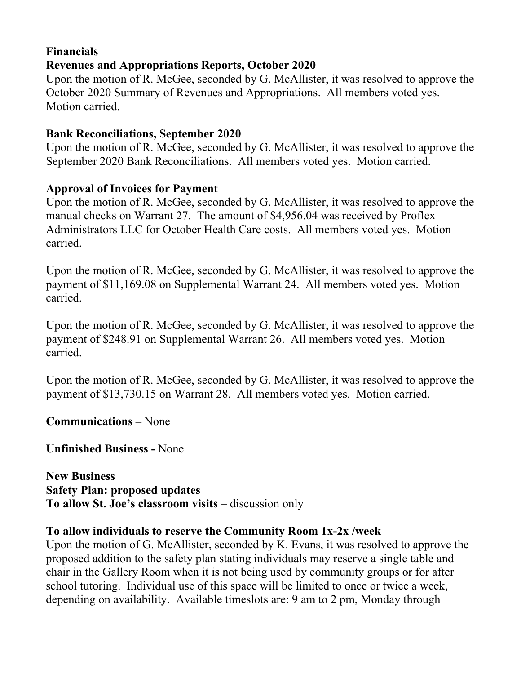### **Financials Revenues and Appropriations Reports, October 2020**

Upon the motion of R. McGee, seconded by G. McAllister, it was resolved to approve the October 2020 Summary of Revenues and Appropriations. All members voted yes. Motion carried.

## **Bank Reconciliations, September 2020**

Upon the motion of R. McGee, seconded by G. McAllister, it was resolved to approve the September 2020 Bank Reconciliations. All members voted yes. Motion carried.

## **Approval of Invoices for Payment**

Upon the motion of R. McGee, seconded by G. McAllister, it was resolved to approve the manual checks on Warrant 27. The amount of \$4,956.04 was received by Proflex Administrators LLC for October Health Care costs. All members voted yes. Motion carried.

Upon the motion of R. McGee, seconded by G. McAllister, it was resolved to approve the payment of \$11,169.08 on Supplemental Warrant 24. All members voted yes. Motion carried.

Upon the motion of R. McGee, seconded by G. McAllister, it was resolved to approve the payment of \$248.91 on Supplemental Warrant 26. All members voted yes. Motion carried.

Upon the motion of R. McGee, seconded by G. McAllister, it was resolved to approve the payment of \$13,730.15 on Warrant 28. All members voted yes. Motion carried.

**Communications –** None

**Unfinished Business -** None

**New Business Safety Plan: proposed updates To allow St. Joe's classroom visits** – discussion only

#### **To allow individuals to reserve the Community Room 1x-2x /week**

Upon the motion of G. McAllister, seconded by K. Evans, it was resolved to approve the proposed addition to the safety plan stating individuals may reserve a single table and chair in the Gallery Room when it is not being used by community groups or for after school tutoring. Individual use of this space will be limited to once or twice a week, depending on availability. Available timeslots are: 9 am to 2 pm, Monday through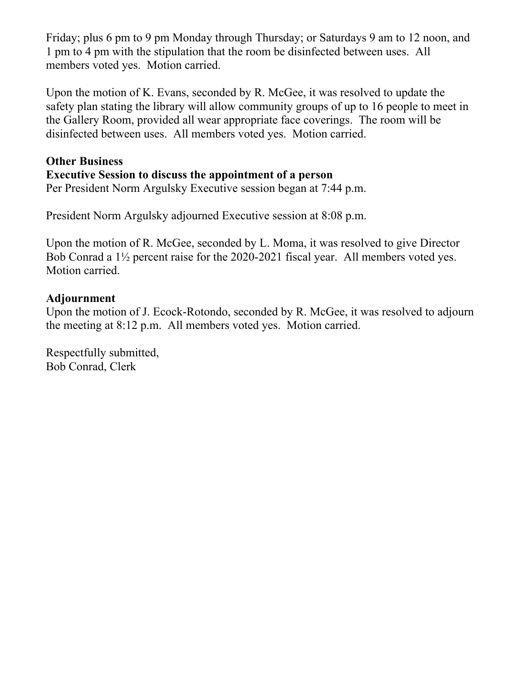Friday; plus 6 pm to 9 pm Monday through Thursday; or Saturdays 9 am to 12 noon, and 1 pm to 4 pm with the stipulation that the room be disinfected between uses. All members voted yes. Motion carried.

Upon the motion of K. Evans, seconded by R. McGee, it was resolved to update the safety plan stating the library will allow community groups of up to 16 people to meet in the Gallery Room, provided all wear appropriate face coverings. The room will be disinfected between uses. All members voted yes. Motion carried.

### **Other Business**

## **Executive Session to discuss the appointment of a person**

Per President Norm Argulsky Executive session began at 7:44 p.m.

President Norm Argulsky adjourned Executive session at 8:08 p.m.

Upon the motion of R. McGee, seconded by L. Moma, it was resolved to give Director Bob Conrad a 1½ percent raise for the 2020-2021 fiscal year. All members voted yes. Motion carried.

#### **Adjournment**

Upon the motion of J. Ecock-Rotondo, seconded by R. McGee, it was resolved to adjourn the meeting at 8:12 p.m. All members voted yes. Motion carried.

Respectfully submitted, Bob Conrad, Clerk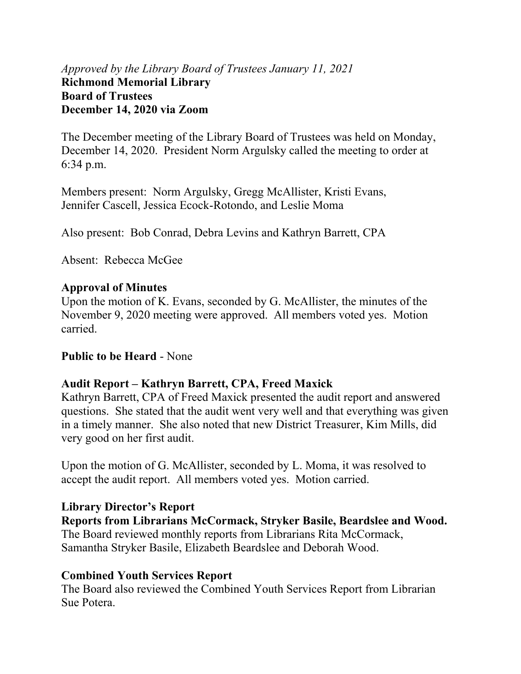## *Approved by the Library Board of Trustees January 11, 2021* **Richmond Memorial Library Board of Trustees December 14, 2020 via Zoom**

The December meeting of the Library Board of Trustees was held on Monday, December 14, 2020. President Norm Argulsky called the meeting to order at 6:34 p.m.

Members present: Norm Argulsky, Gregg McAllister, Kristi Evans, Jennifer Cascell, Jessica Ecock-Rotondo, and Leslie Moma

Also present: Bob Conrad, Debra Levins and Kathryn Barrett, CPA

Absent: Rebecca McGee

### **Approval of Minutes**

Upon the motion of K. Evans, seconded by G. McAllister, the minutes of the November 9, 2020 meeting were approved. All members voted yes. Motion carried.

#### **Public to be Heard** - None

## **Audit Report – Kathryn Barrett, CPA, Freed Maxick**

Kathryn Barrett, CPA of Freed Maxick presented the audit report and answered questions. She stated that the audit went very well and that everything was given in a timely manner. She also noted that new District Treasurer, Kim Mills, did very good on her first audit.

Upon the motion of G. McAllister, seconded by L. Moma, it was resolved to accept the audit report. All members voted yes. Motion carried.

#### **Library Director's Report**

**Reports from Librarians McCormack, Stryker Basile, Beardslee and Wood.** The Board reviewed monthly reports from Librarians Rita McCormack, Samantha Stryker Basile, Elizabeth Beardslee and Deborah Wood.

## **Combined Youth Services Report**

The Board also reviewed the Combined Youth Services Report from Librarian Sue Potera.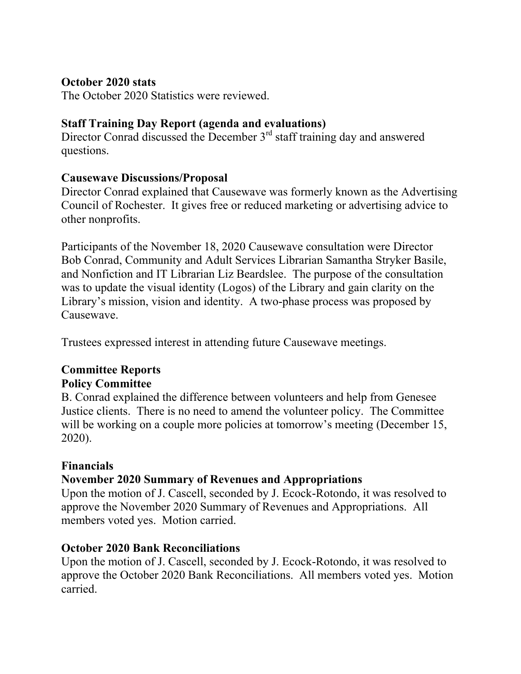#### **October 2020 stats**

The October 2020 Statistics were reviewed.

## **Staff Training Day Report (agenda and evaluations)**

Director Conrad discussed the December  $3<sup>rd</sup>$  staff training day and answered questions.

### **Causewave Discussions/Proposal**

Director Conrad explained that Causewave was formerly known as the Advertising Council of Rochester. It gives free or reduced marketing or advertising advice to other nonprofits.

Participants of the November 18, 2020 Causewave consultation were Director Bob Conrad, Community and Adult Services Librarian Samantha Stryker Basile, and Nonfiction and IT Librarian Liz Beardslee. The purpose of the consultation was to update the visual identity (Logos) of the Library and gain clarity on the Library's mission, vision and identity. A two-phase process was proposed by Causewave.

Trustees expressed interest in attending future Causewave meetings.

# **Committee Reports**

## **Policy Committee**

B. Conrad explained the difference between volunteers and help from Genesee Justice clients. There is no need to amend the volunteer policy. The Committee will be working on a couple more policies at tomorrow's meeting (December 15, 2020).

#### **Financials**

## **November 2020 Summary of Revenues and Appropriations**

Upon the motion of J. Cascell, seconded by J. Ecock-Rotondo, it was resolved to approve the November 2020 Summary of Revenues and Appropriations. All members voted yes. Motion carried.

#### **October 2020 Bank Reconciliations**

Upon the motion of J. Cascell, seconded by J. Ecock-Rotondo, it was resolved to approve the October 2020 Bank Reconciliations. All members voted yes. Motion carried.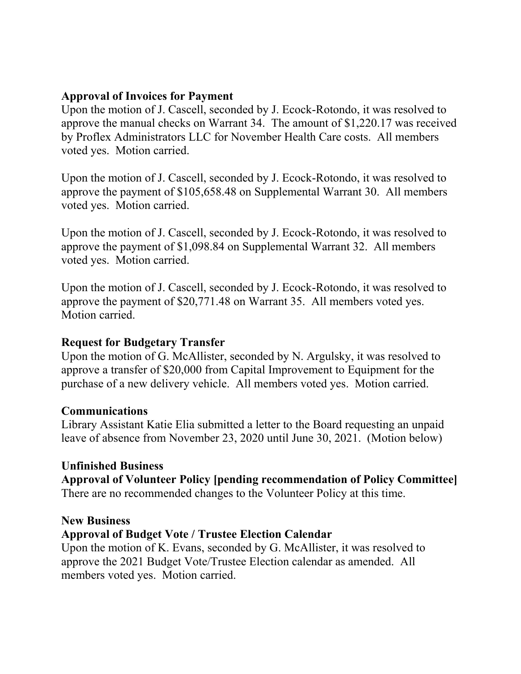#### **Approval of Invoices for Payment**

Upon the motion of J. Cascell, seconded by J. Ecock-Rotondo, it was resolved to approve the manual checks on Warrant 34. The amount of \$1,220.17 was received by Proflex Administrators LLC for November Health Care costs. All members voted yes. Motion carried.

Upon the motion of J. Cascell, seconded by J. Ecock-Rotondo, it was resolved to approve the payment of \$105,658.48 on Supplemental Warrant 30. All members voted yes. Motion carried.

Upon the motion of J. Cascell, seconded by J. Ecock-Rotondo, it was resolved to approve the payment of \$1,098.84 on Supplemental Warrant 32. All members voted yes. Motion carried.

Upon the motion of J. Cascell, seconded by J. Ecock-Rotondo, it was resolved to approve the payment of \$20,771.48 on Warrant 35. All members voted yes. Motion carried.

#### **Request for Budgetary Transfer**

Upon the motion of G. McAllister, seconded by N. Argulsky, it was resolved to approve a transfer of \$20,000 from Capital Improvement to Equipment for the purchase of a new delivery vehicle. All members voted yes. Motion carried.

#### **Communications**

Library Assistant Katie Elia submitted a letter to the Board requesting an unpaid leave of absence from November 23, 2020 until June 30, 2021. (Motion below)

## **Unfinished Business**

**Approval of Volunteer Policy [pending recommendation of Policy Committee]**  There are no recommended changes to the Volunteer Policy at this time.

#### **New Business**

## **Approval of Budget Vote / Trustee Election Calendar**

Upon the motion of K. Evans, seconded by G. McAllister, it was resolved to approve the 2021 Budget Vote/Trustee Election calendar as amended. All members voted yes. Motion carried.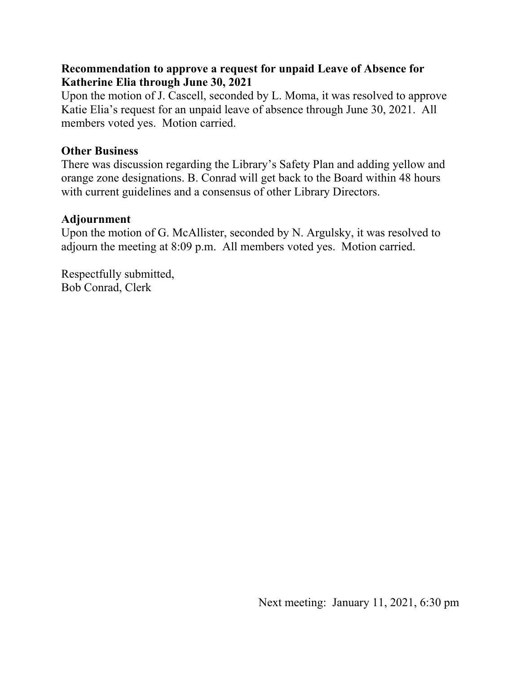### **Recommendation to approve a request for unpaid Leave of Absence for Katherine Elia through June 30, 2021**

Upon the motion of J. Cascell, seconded by L. Moma, it was resolved to approve Katie Elia's request for an unpaid leave of absence through June 30, 2021. All members voted yes. Motion carried.

### **Other Business**

There was discussion regarding the Library's Safety Plan and adding yellow and orange zone designations. B. Conrad will get back to the Board within 48 hours with current guidelines and a consensus of other Library Directors.

## **Adjournment**

Upon the motion of G. McAllister, seconded by N. Argulsky, it was resolved to adjourn the meeting at 8:09 p.m. All members voted yes. Motion carried.

Respectfully submitted, Bob Conrad, Clerk